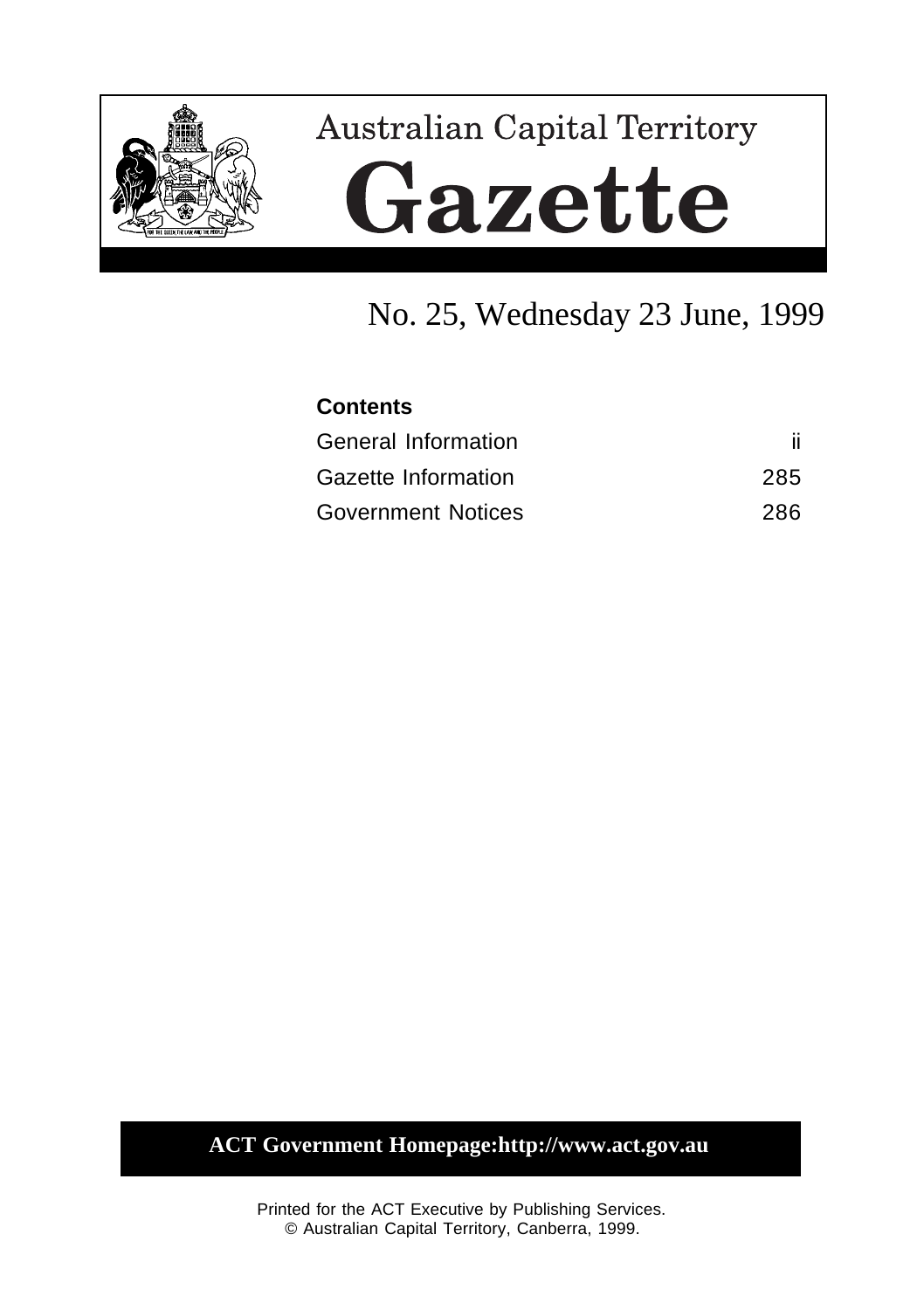

# **Australian Capital Territory** Gazette

## No. 25, Wednesday 23 June, 1999

| <b>Contents</b>           |     |
|---------------------------|-----|
| General Information       |     |
| Gazette Information       | 285 |
| <b>Government Notices</b> | 286 |

## **ACT Government Homepage:http://www.act.gov.au**

Printed for the ACT Executive by Publishing Services. © Australian Capital Territory, Canberra, 1999.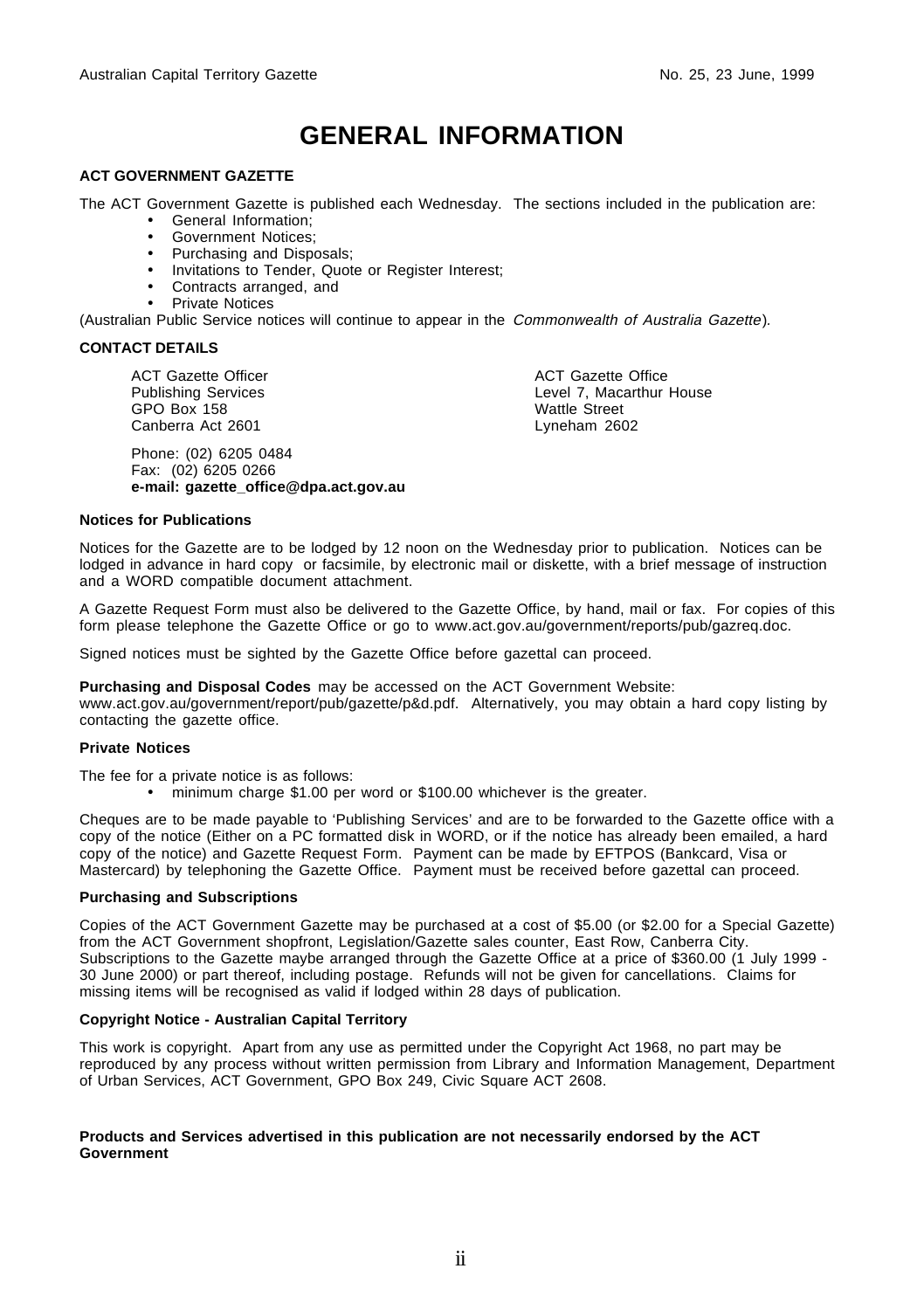## **GENERAL INFORMATION**

#### **ACT GOVERNMENT GAZETTE**

The ACT Government Gazette is published each Wednesday. The sections included in the publication are:

- General Information;
- Government Notices;
- Purchasing and Disposals;
- Invitations to Tender, Quote or Register Interest;
- Contracts arranged, and
- Private Notices

(Australian Public Service notices will continue to appear in the Commonwealth of Australia Gazette).

#### **CONTACT DETAILS**

ACT Gazette Officer Publishing Services GPO Box 158 Canberra Act 2601

Phone: (02) 6205 0484 Fax: (02) 6205 0266 **e-mail: gazette\_office@dpa.act.gov.au** ACT Gazette Office Level 7, Macarthur House Wattle Street Lyneham 2602

#### **Notices for Publications**

Notices for the Gazette are to be lodged by 12 noon on the Wednesday prior to publication. Notices can be lodged in advance in hard copy or facsimile, by electronic mail or diskette, with a brief message of instruction and a WORD compatible document attachment.

A Gazette Request Form must also be delivered to the Gazette Office, by hand, mail or fax. For copies of this form please telephone the Gazette Office or go to www.act.gov.au/government/reports/pub/gazreq.doc.

Signed notices must be sighted by the Gazette Office before gazettal can proceed.

**Purchasing and Disposal Codes** may be accessed on the ACT Government Website:

www.act.gov.au/government/report/pub/gazette/p&d.pdf. Alternatively, you may obtain a hard copy listing by contacting the gazette office.

#### **Private Notices**

The fee for a private notice is as follows:

• minimum charge \$1.00 per word or \$100.00 whichever is the greater.

Cheques are to be made payable to 'Publishing Services' and are to be forwarded to the Gazette office with a copy of the notice (Either on a PC formatted disk in WORD, or if the notice has already been emailed, a hard copy of the notice) and Gazette Request Form. Payment can be made by EFTPOS (Bankcard, Visa or Mastercard) by telephoning the Gazette Office. Payment must be received before gazettal can proceed.

#### **Purchasing and Subscriptions**

Copies of the ACT Government Gazette may be purchased at a cost of \$5.00 (or \$2.00 for a Special Gazette) from the ACT Government shopfront, Legislation/Gazette sales counter, East Row, Canberra City. Subscriptions to the Gazette maybe arranged through the Gazette Office at a price of \$360.00 (1 July 1999 - 30 June 2000) or part thereof, including postage. Refunds will not be given for cancellations. Claims for missing items will be recognised as valid if lodged within 28 days of publication.

#### **Copyright Notice - Australian Capital Territory**

This work is copyright. Apart from any use as permitted under the Copyright Act 1968, no part may be reproduced by any process without written permission from Library and Information Management, Department of Urban Services, ACT Government, GPO Box 249, Civic Square ACT 2608.

#### **Products and Services advertised in this publication are not necessarily endorsed by the ACT Government**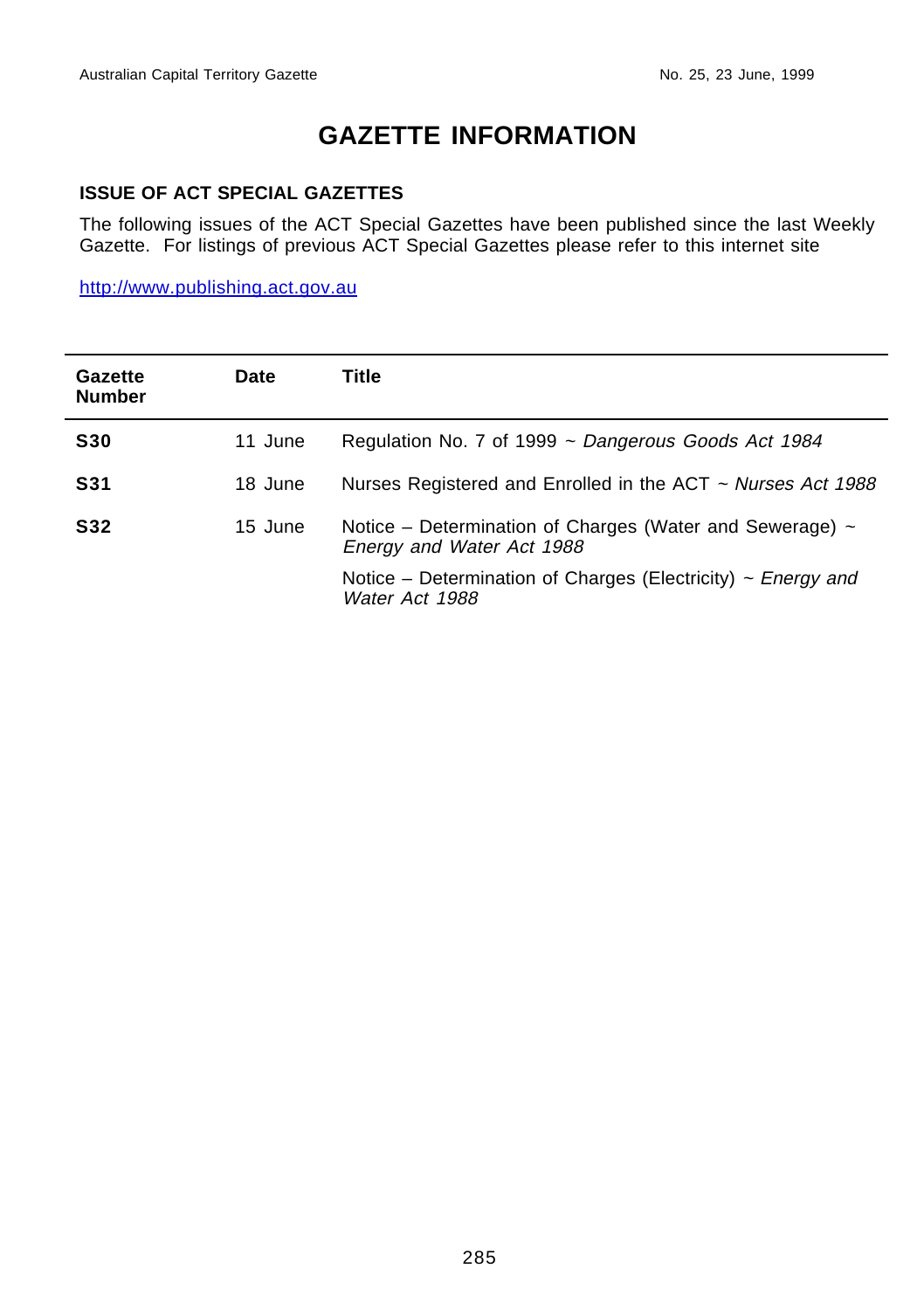## **GAZETTE INFORMATION**

#### **ISSUE OF ACT SPECIAL GAZETTES**

The following issues of the ACT Special Gazettes have been published since the last Weekly Gazette. For listings of previous ACT Special Gazettes please refer to this internet site

http://www.publishing.act.gov.au

| Gazette<br><b>Number</b> | <b>Date</b> | Title                                                                                      |
|--------------------------|-------------|--------------------------------------------------------------------------------------------|
| <b>S30</b>               | 11 June     | Regulation No. 7 of 1999 ~ Dangerous Goods Act 1984                                        |
| <b>S31</b>               | 18 June     | Nurses Registered and Enrolled in the ACT $\sim$ Nurses Act 1988                           |
| <b>S32</b>               | 15 June     | Notice – Determination of Charges (Water and Sewerage) $\sim$<br>Energy and Water Act 1988 |
|                          |             | Notice – Determination of Charges (Electricity) $\sim$ Energy and<br>Water Act 1988        |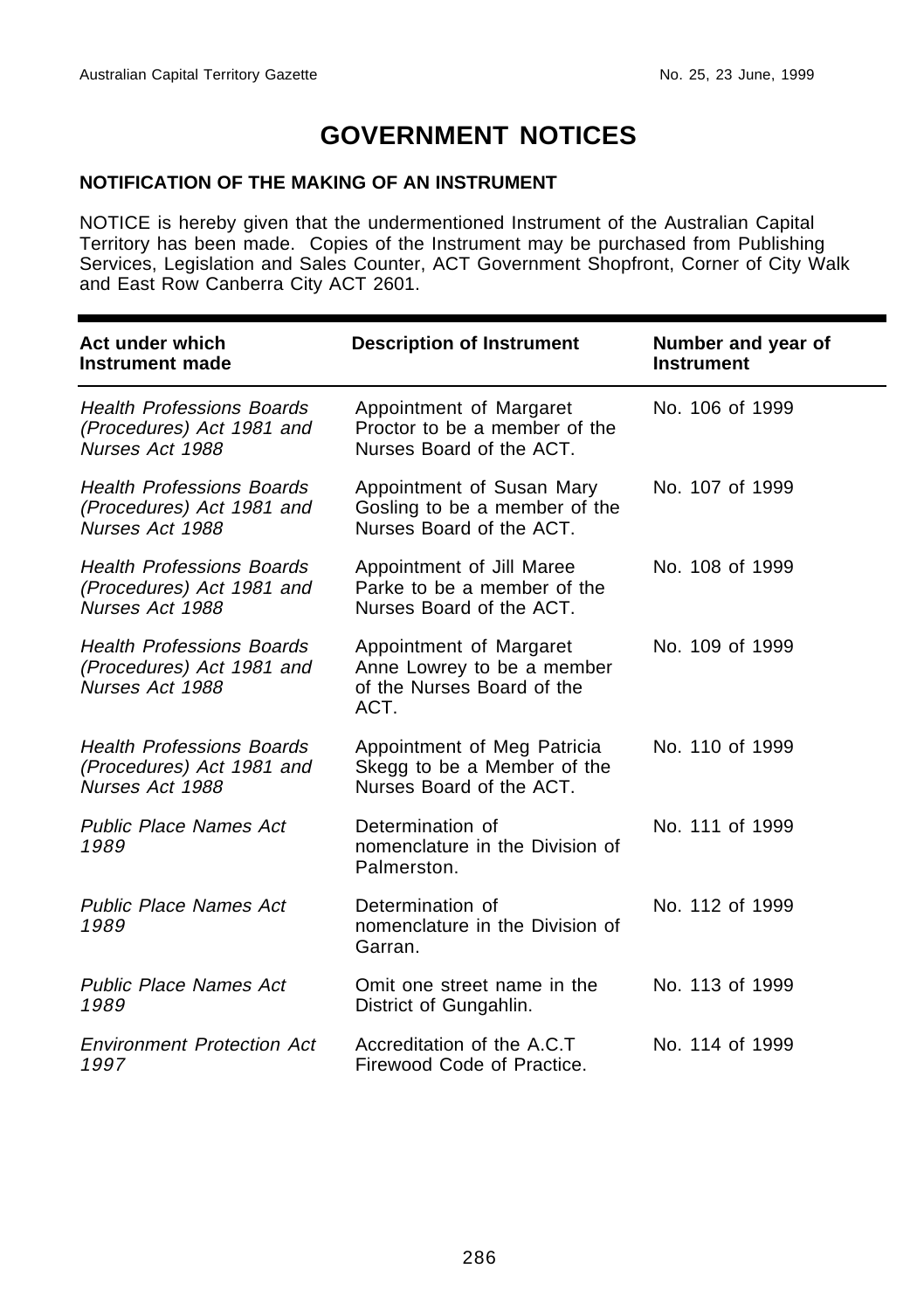## **GOVERNMENT NOTICES**

#### **NOTIFICATION OF THE MAKING OF AN INSTRUMENT**

NOTICE is hereby given that the undermentioned Instrument of the Australian Capital Territory has been made. Copies of the Instrument may be purchased from Publishing Services, Legislation and Sales Counter, ACT Government Shopfront, Corner of City Walk and East Row Canberra City ACT 2601.

| Act under which<br>Instrument made                                               | <b>Description of Instrument</b>                                                            | Number and year of<br><b>Instrument</b> |
|----------------------------------------------------------------------------------|---------------------------------------------------------------------------------------------|-----------------------------------------|
| <b>Health Professions Boards</b><br>(Procedures) Act 1981 and<br>Nurses Act 1988 | Appointment of Margaret<br>Proctor to be a member of the<br>Nurses Board of the ACT.        | No. 106 of 1999                         |
| <b>Health Professions Boards</b><br>(Procedures) Act 1981 and<br>Nurses Act 1988 | Appointment of Susan Mary<br>Gosling to be a member of the<br>Nurses Board of the ACT.      | No. 107 of 1999                         |
| <b>Health Professions Boards</b><br>(Procedures) Act 1981 and<br>Nurses Act 1988 | Appointment of Jill Maree<br>Parke to be a member of the<br>Nurses Board of the ACT.        | No. 108 of 1999                         |
| <b>Health Professions Boards</b><br>(Procedures) Act 1981 and<br>Nurses Act 1988 | Appointment of Margaret<br>Anne Lowrey to be a member<br>of the Nurses Board of the<br>ACT. | No. 109 of 1999                         |
| <b>Health Professions Boards</b><br>(Procedures) Act 1981 and<br>Nurses Act 1988 | Appointment of Meg Patricia<br>Skegg to be a Member of the<br>Nurses Board of the ACT.      | No. 110 of 1999                         |
| <b>Public Place Names Act</b><br>1989                                            | Determination of<br>nomenclature in the Division of<br>Palmerston.                          | No. 111 of 1999                         |
| <b>Public Place Names Act</b><br>1989                                            | Determination of<br>nomenclature in the Division of<br>Garran.                              | No. 112 of 1999                         |
| <b>Public Place Names Act</b><br>1989                                            | Omit one street name in the<br>District of Gungahlin.                                       | No. 113 of 1999                         |
| <b>Environment Protection Act</b><br>1997                                        | Accreditation of the A.C.T<br>Firewood Code of Practice.                                    | No. 114 of 1999                         |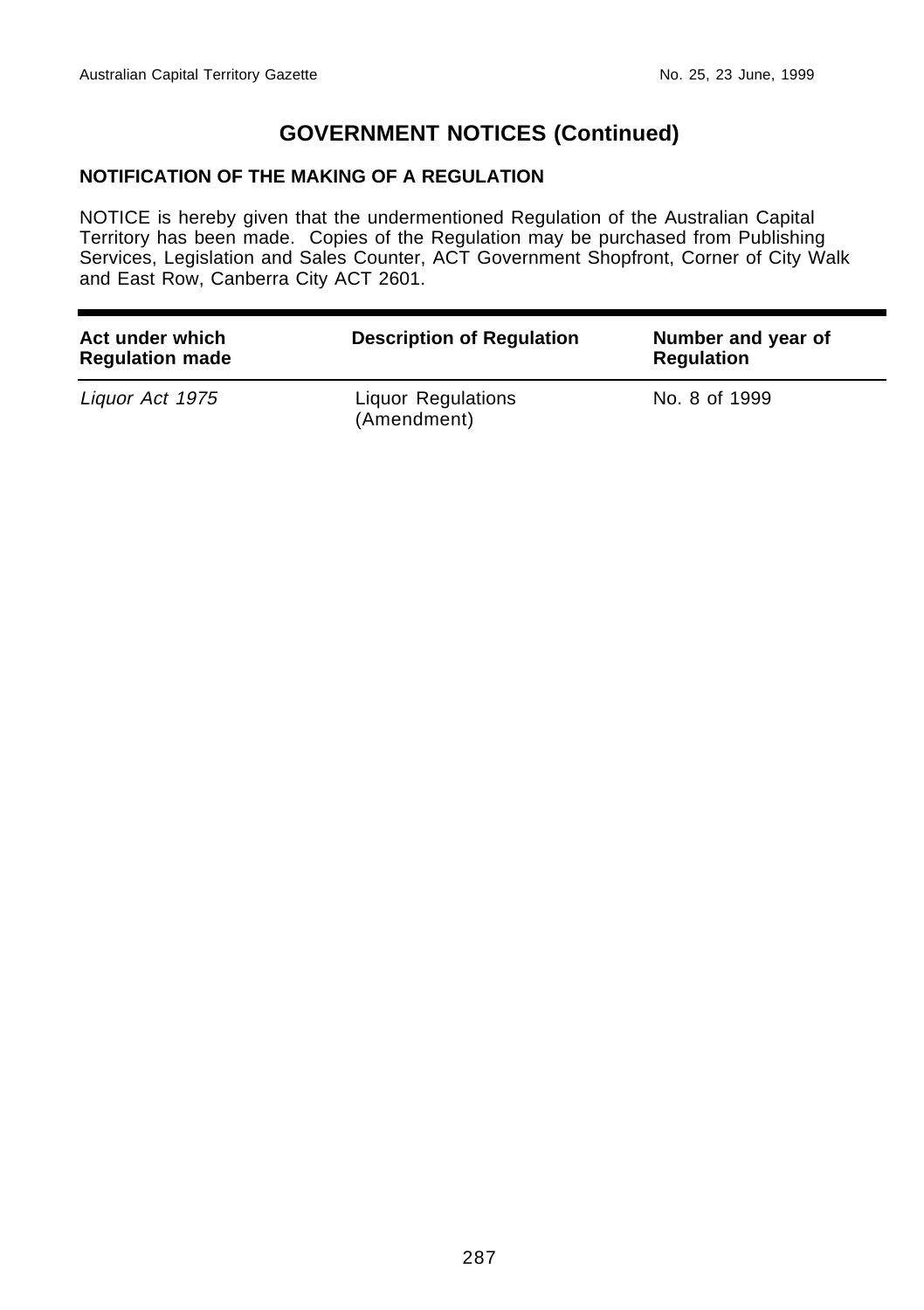#### **NOTIFICATION OF THE MAKING OF A REGULATION**

NOTICE is hereby given that the undermentioned Regulation of the Australian Capital Territory has been made. Copies of the Regulation may be purchased from Publishing Services, Legislation and Sales Counter, ACT Government Shopfront, Corner of City Walk and East Row, Canberra City ACT 2601.

| Act under which<br><b>Regulation made</b> | <b>Description of Regulation</b>         | Number and year of<br><b>Regulation</b> |
|-------------------------------------------|------------------------------------------|-----------------------------------------|
| Liquor Act 1975                           | <b>Liquor Regulations</b><br>(Amendment) | No. 8 of 1999                           |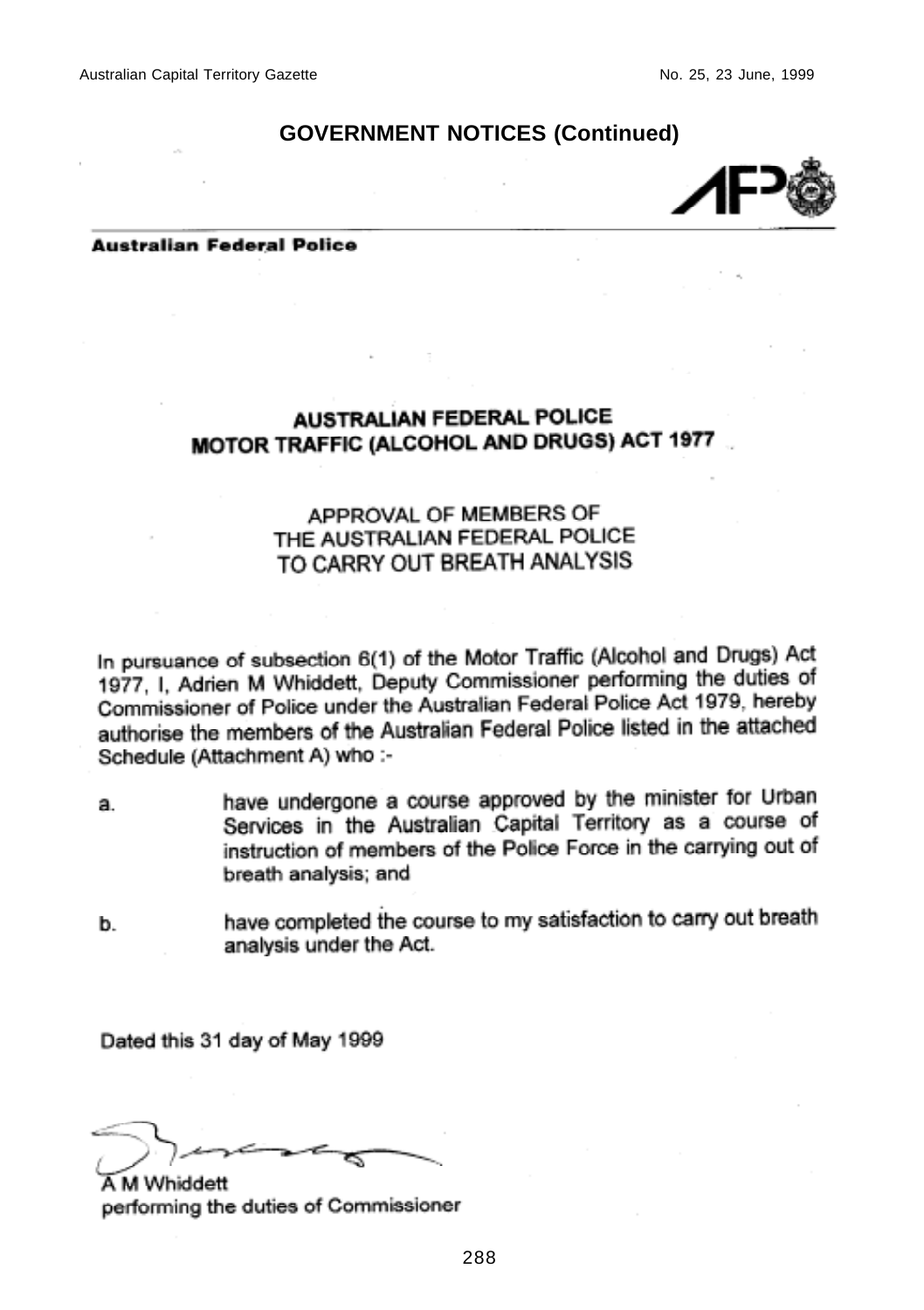

#### Australian Federal Police

### **AUSTRALIAN FEDERAL POLICE** MOTOR TRAFFIC (ALCOHOL AND DRUGS) ACT 1977

#### APPROVAL OF MEMBERS OF THE AUSTRALIAN FEDERAL POLICE TO CARRY OUT BREATH ANALYSIS

In pursuance of subsection 6(1) of the Motor Traffic (Alcohol and Drugs) Act 1977, I, Adrien M Whiddett, Deputy Commissioner performing the duties of Commissioner of Police under the Australian Federal Police Act 1979, hereby authorise the members of the Australian Federal Police listed in the attached Schedule (Attachment A) who :-

- have undergone a course approved by the minister for Urban sa. Services in the Australian Capital Territory as a course of instruction of members of the Police Force in the carrying out of breath analysis; and
- have completed the course to my satisfaction to carry out breath b. analysis under the Act.

Dated this 31 day of May 1999

\ M Whiddett performing the duties of Commissioner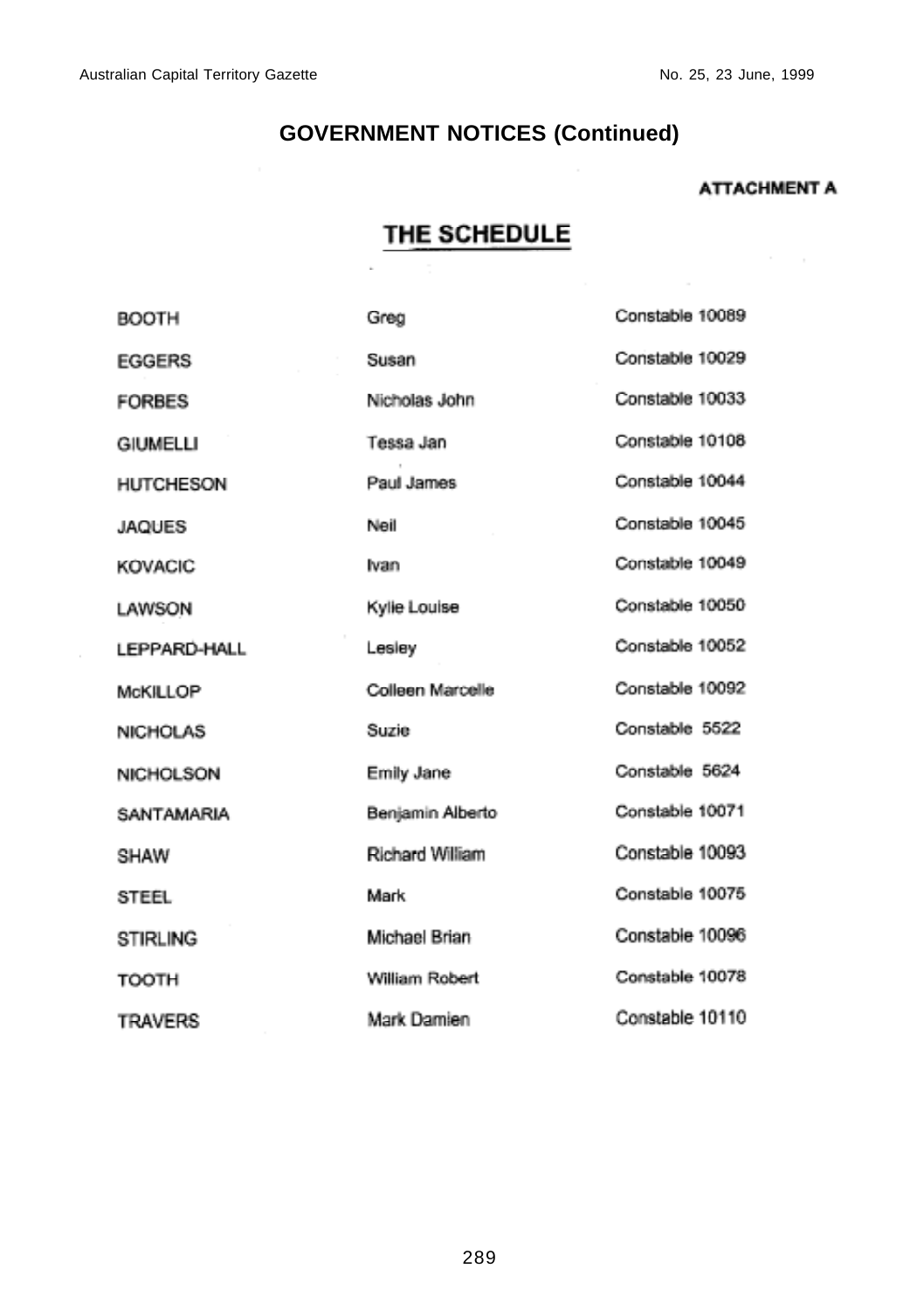#### **ATTACHMENT A**

## THE SCHEDULE

| <b>BOOTH</b>         | Greg                   | Constable 10089 |
|----------------------|------------------------|-----------------|
| <b>EGGERS</b>        | Susan                  | Constable 10029 |
| <b>FORBES</b>        | Nicholas John          | Constable 10033 |
| <b>GIUMELLI</b>      | Tessa Jan              | Constable 10108 |
| <b>HUTCHESON</b>     | Paul James             | Constable 10044 |
| <b>JAQUES</b>        | Neil                   | Constable 10045 |
| <b>KOVACIC</b>       | Ivan                   | Constable 10049 |
| LAWSON               | Kylie Louise           | Constable 10050 |
| <b>I FPPARD-HALL</b> | Lesley                 | Constable 10052 |
| <b>McKILLOP</b>      | Colleen Marcelle       | Constable 10092 |
| <b>NICHOLAS</b>      | Suzie                  | Constable 5522  |
| <b>NICHOLSON</b>     | <b>Emily Jane</b>      | Constable 5624  |
| <b>SANTAMARIA</b>    | Benjamin Alberto       | Constable 10071 |
| <b>SHAW</b>          | <b>Richard William</b> | Constable 10093 |
| <b>STEEL</b>         | <b>Mark</b>            | Constable 10075 |
| <b>STIRLING</b>      | Michael Brian          | Constable 10096 |
| <b>TOOTH</b>         | William Robert         | Constable 10078 |
| <b>TRAVERS</b>       | Mark Damien            | Constable 10110 |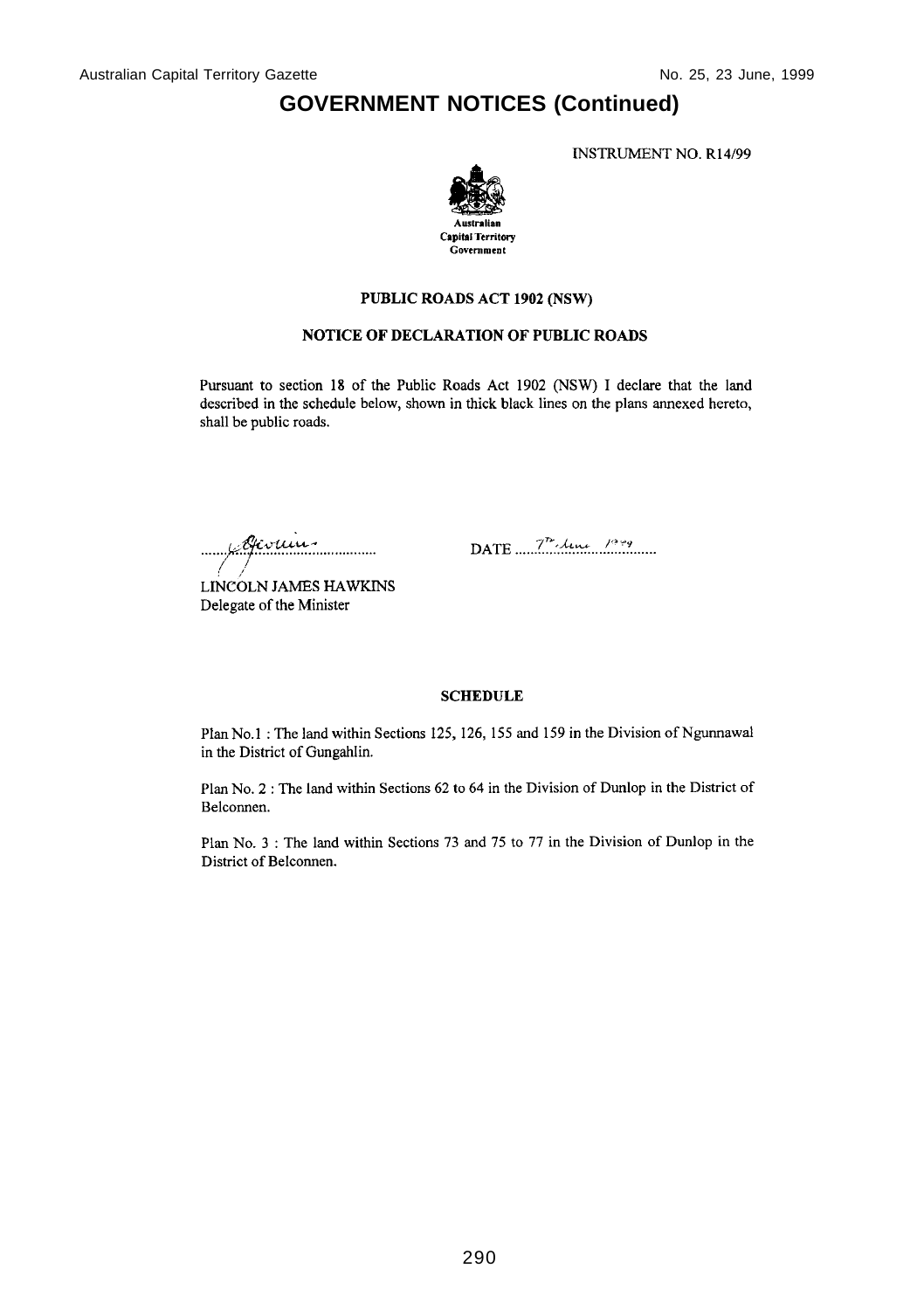**INSTRUMENT NO. R14/99** 



#### **PUBLIC ROADS ACT 1902 (NSW)**

#### NOTICE OF DECLARATION OF PUBLIC ROADS

Pursuant to section 18 of the Public Roads Act 1902 (NSW) I declare that the land described in the schedule below, shown in thick black lines on the plans annexed hereto, shall be public roads.

Aivuin. -<br>.................

DATE  $7^{n}$  leve  $1^{0.99}$ 

**LINCOLN JAMES HAWKINS** Delegate of the Minister

#### **SCHEDULE**

Plan No.1 : The land within Sections 125, 126, 155 and 159 in the Division of Ngunnawal in the District of Gungahlin.

Plan No. 2: The land within Sections 62 to 64 in the Division of Dunlop in the District of Belconnen.

Plan No. 3 : The land within Sections 73 and 75 to 77 in the Division of Dunlop in the District of Belconnen.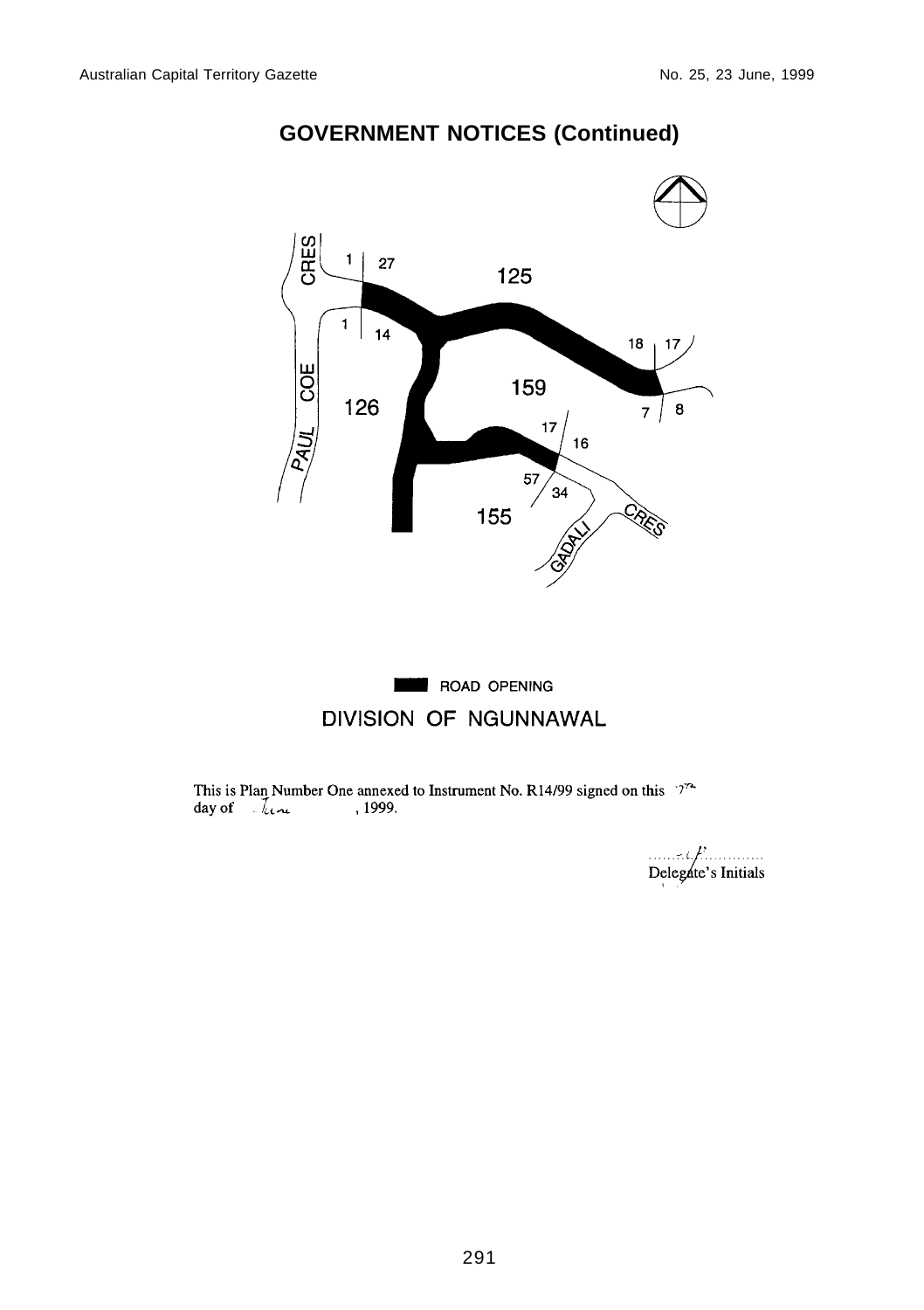



This is Plan Number One annexed to Instrument No. R14/99 signed on this  $7^{\infty}$ day of  $\lambda$ une , 1999.

 $\mathcal{L}$  Delegate's Initials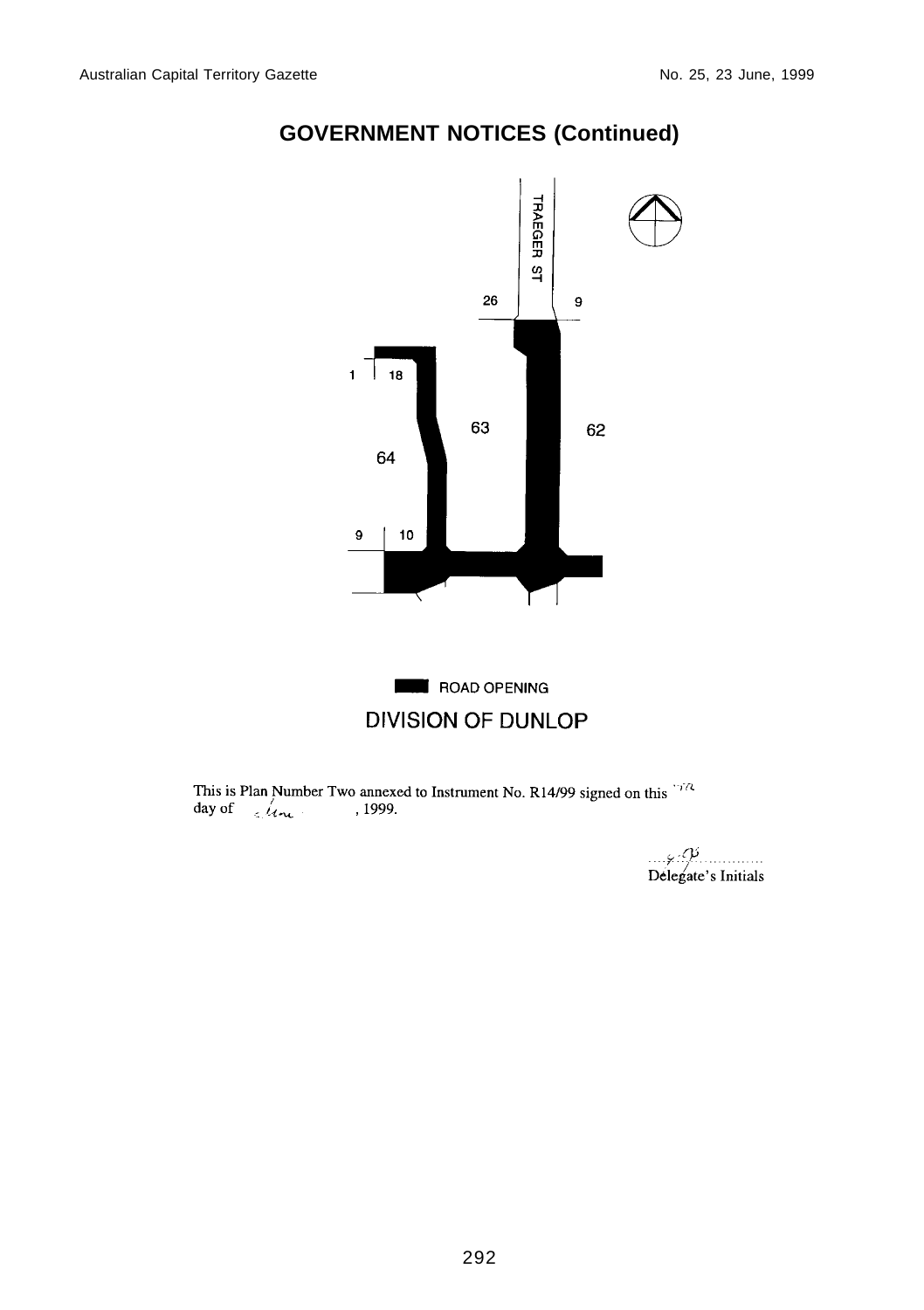



This is Plan Number Two annexed to Instrument No. R14/99 signed on this  $\sqrt{2}$ day of chon , 1999.

 $\frac{1}{2}$  Delegate's Initials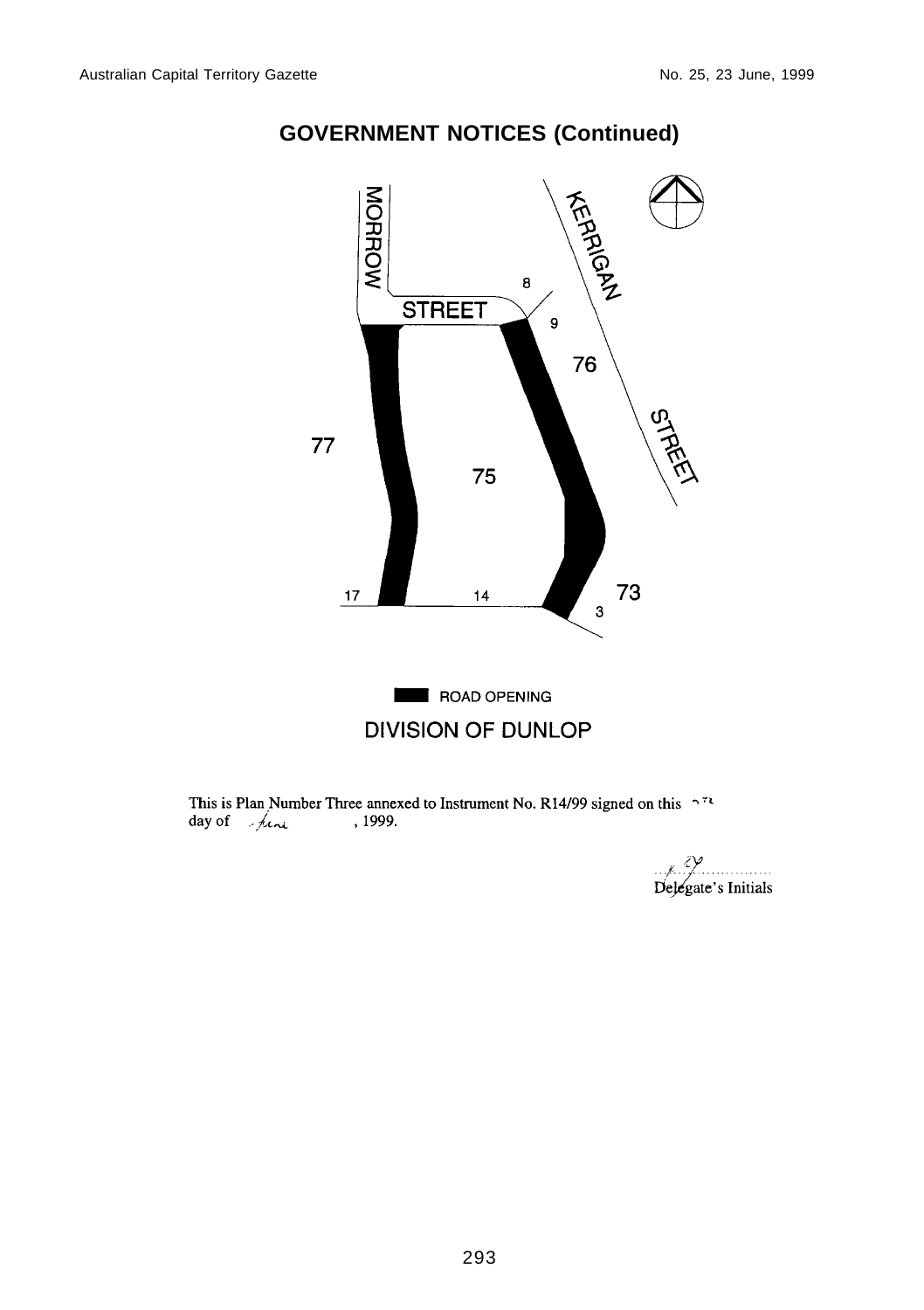

This is Plan Number Three annexed to Instrument No. R14/99 signed on this  $\gamma^{\tau_1}$  day of  $\beta_{\text{start}}$ , 1999.

 $D$ elegate's Initials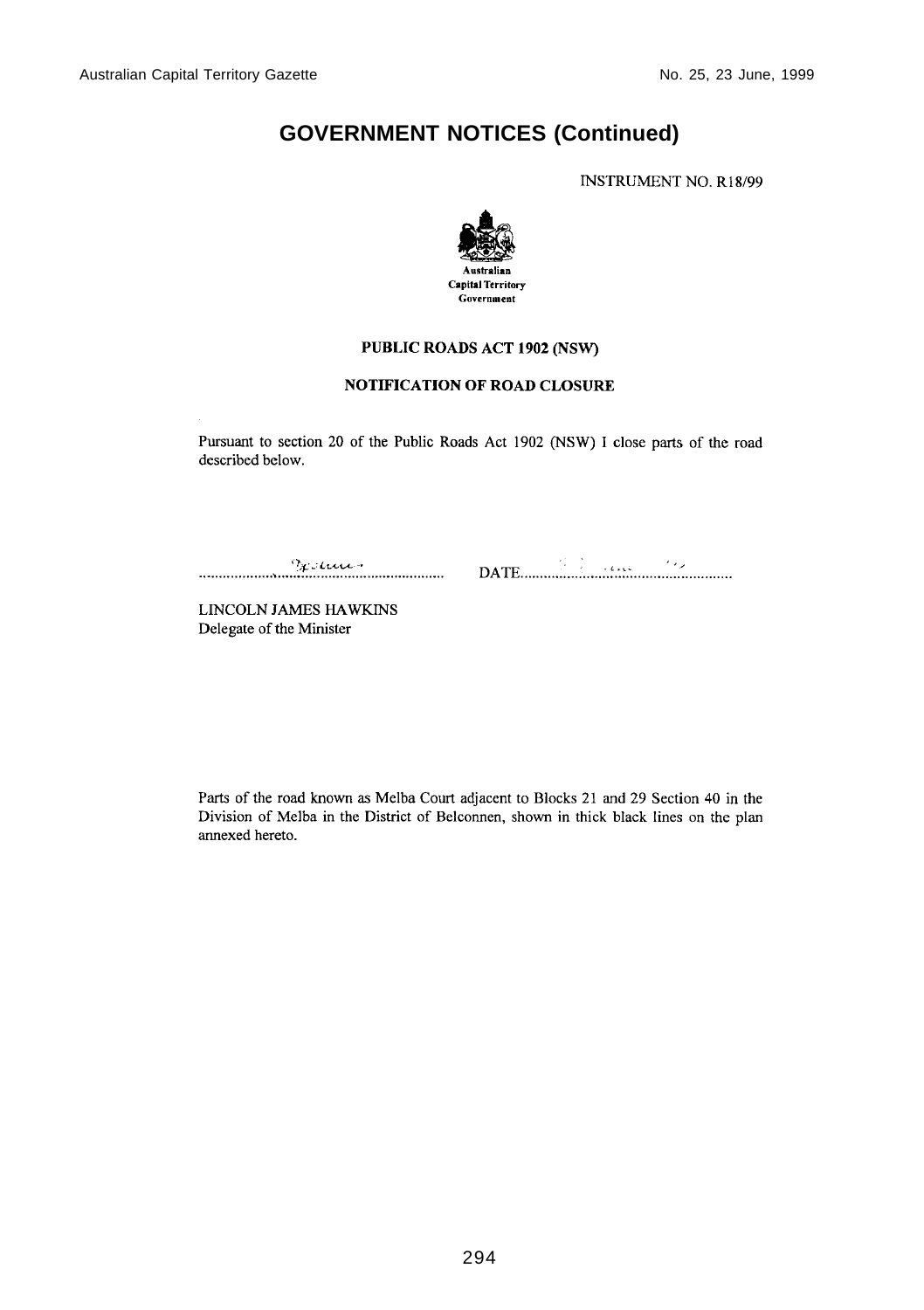**INSTRUMENT NO. R18/99** 



#### PUBLIC ROADS ACT 1902 (NSW)

#### **NOTIFICATION OF ROAD CLOSURE**

Pursuant to section 20 of the Public Roads Act 1902 (NSW) I close parts of the road described below.

<u>sections</u> DATE

LINCOLN JAMES HAWKINS Delegate of the Minister

Parts of the road known as Melba Court adjacent to Blocks 21 and 29 Section 40 in the Division of Melba in the District of Belconnen, shown in thick black lines on the plan annexed hereto.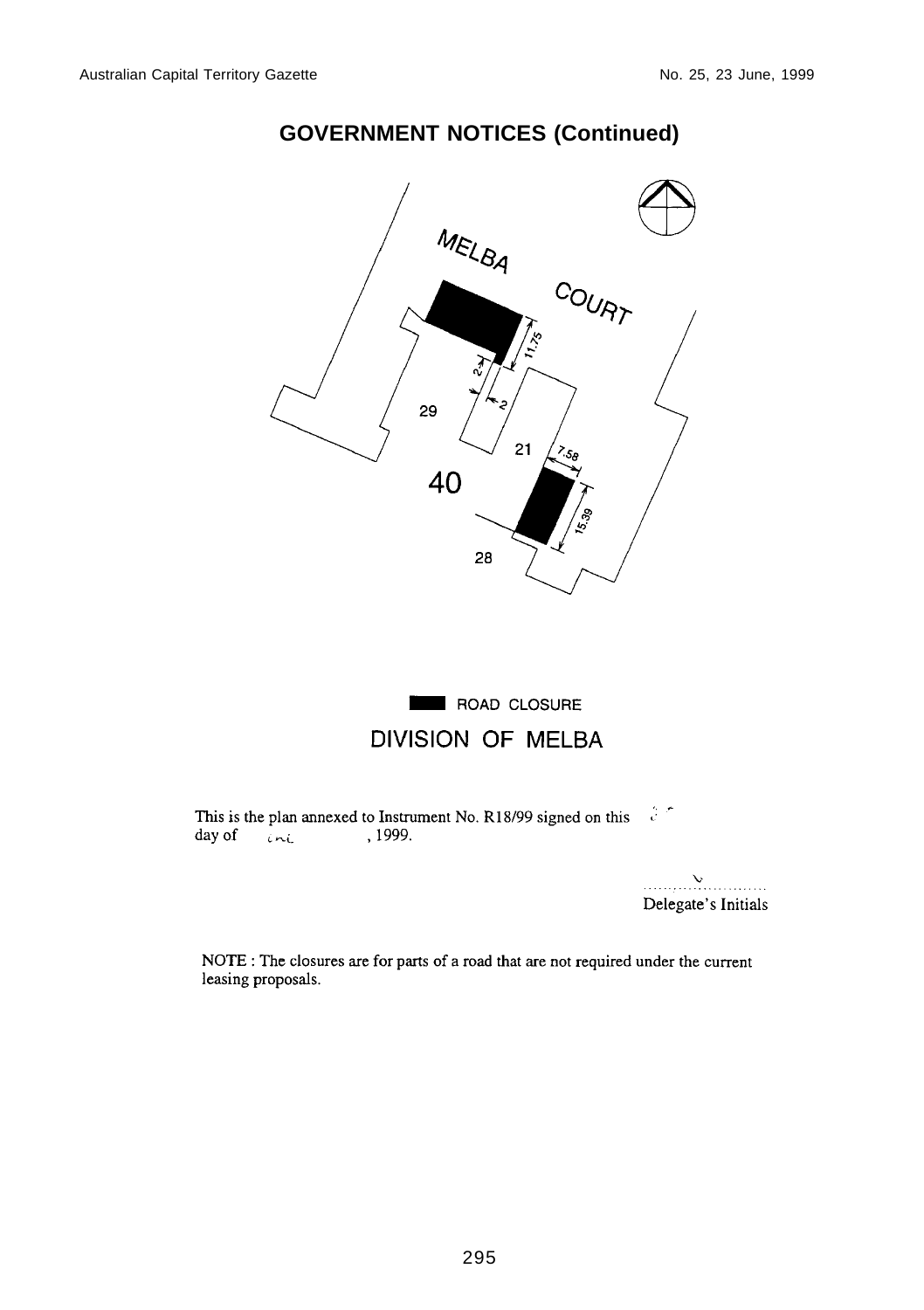# MELBA COURT  $\sqrt{\frac{1}{5}}$ 29  $21$ 40 28

## **GOVERNMENT NOTICES (Continued)**



- పెర This is the plan annexed to Instrument No. R18/99 signed on this day of  $int$ , 1999.

> . . . . . . . . . . . Delegate's Initials

NOTE : The closures are for parts of a road that are not required under the current leasing proposals.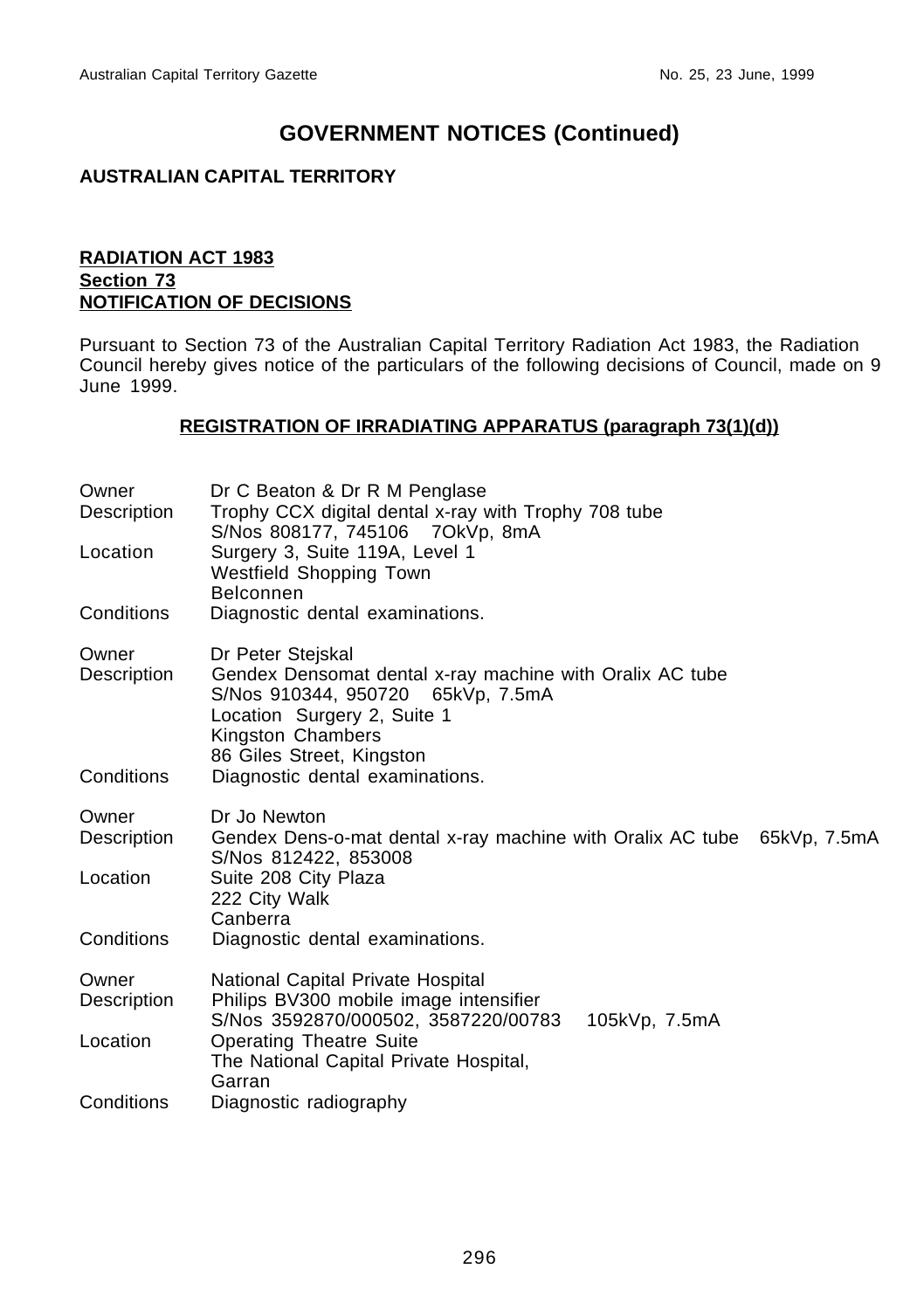#### **AUSTRALIAN CAPITAL TERRITORY**

#### **RADIATION ACT 1983 Section 73 NOTIFICATION OF DECISIONS**

Pursuant to Section 73 of the Australian Capital Territory Radiation Act 1983, the Radiation Council hereby gives notice of the particulars of the following decisions of Council, made on 9 June 1999.

#### **REGISTRATION OF IRRADIATING APPARATUS (paragraph 73(1)(d))**

| Dr C Beaton & Dr R M Penglase<br>Trophy CCX digital dental x-ray with Trophy 708 tube<br>S/Nos 808177, 745106 7OkVp, 8mA                                                                            |
|-----------------------------------------------------------------------------------------------------------------------------------------------------------------------------------------------------|
| Surgery 3, Suite 119A, Level 1<br>Westfield Shopping Town<br>Belconnen                                                                                                                              |
| Diagnostic dental examinations.                                                                                                                                                                     |
| Dr Peter Stejskal<br>Gendex Densomat dental x-ray machine with Oralix AC tube<br>S/Nos 910344, 950720 65kVp, 7.5mA<br>Location Surgery 2, Suite 1<br>Kingston Chambers<br>86 Giles Street, Kingston |
| Diagnostic dental examinations.                                                                                                                                                                     |
| Dr Jo Newton<br>Gendex Dens-o-mat dental x-ray machine with Oralix AC tube 65kVp, 7.5mA<br>S/Nos 812422, 853008                                                                                     |
| Suite 208 City Plaza<br>222 City Walk<br>Canberra                                                                                                                                                   |
| Diagnostic dental examinations.                                                                                                                                                                     |
| National Capital Private Hospital<br>Philips BV300 mobile image intensifier<br>S/Nos 3592870/000502, 3587220/00783<br>105kVp, 7.5mA                                                                 |
| <b>Operating Theatre Suite</b><br>The National Capital Private Hospital,<br>Garran                                                                                                                  |
| Diagnostic radiography                                                                                                                                                                              |
|                                                                                                                                                                                                     |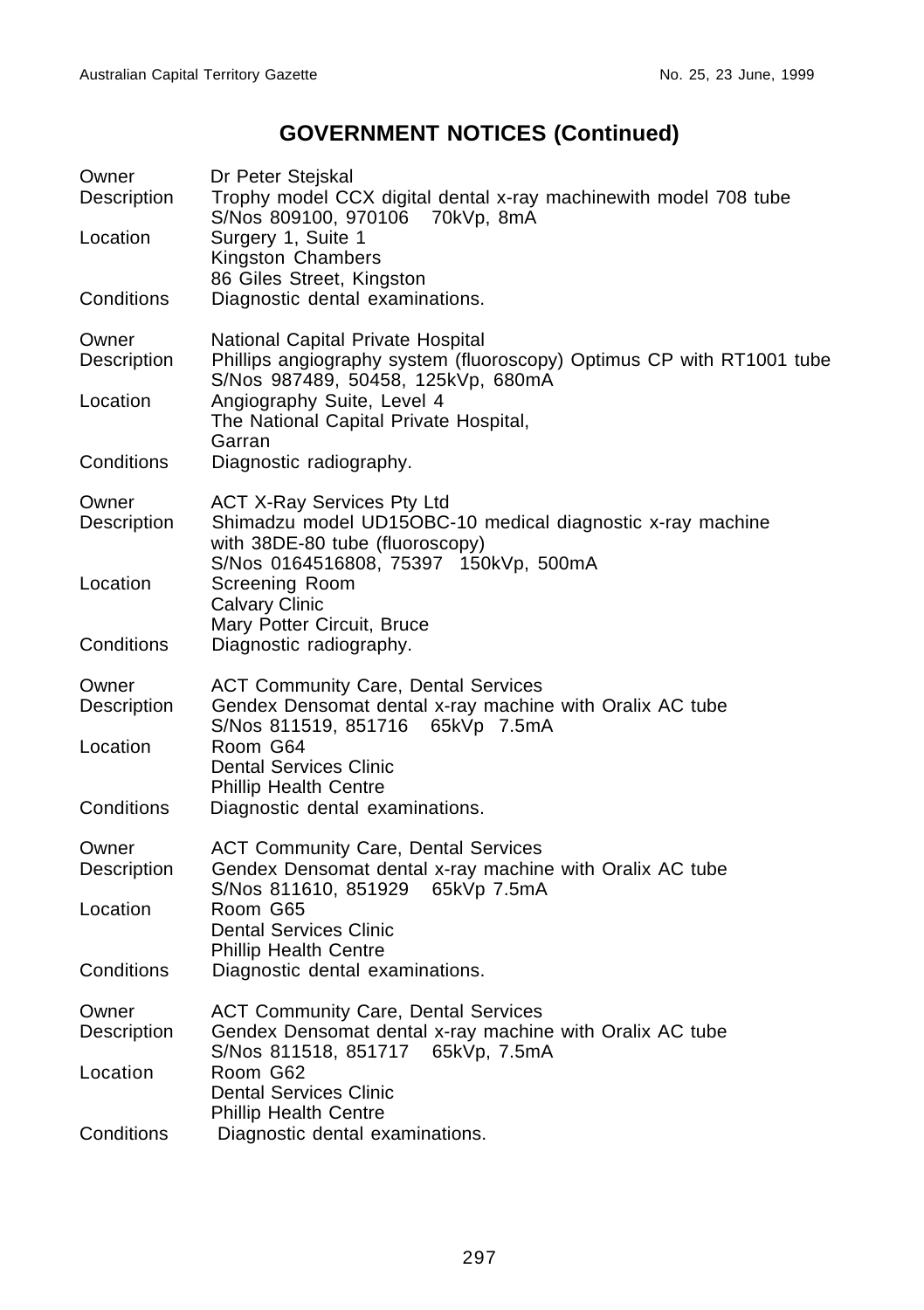| Owner<br>Description<br>Location | Dr Peter Stejskal<br>Trophy model CCX digital dental x-ray machinewith model 708 tube<br>S/Nos 809100, 970106<br>70kVp, 8mA<br>Surgery 1, Suite 1                           |
|----------------------------------|-----------------------------------------------------------------------------------------------------------------------------------------------------------------------------|
|                                  | Kingston Chambers                                                                                                                                                           |
| Conditions                       | 86 Giles Street, Kingston<br>Diagnostic dental examinations.                                                                                                                |
| Owner<br>Description             | National Capital Private Hospital<br>Phillips angiography system (fluoroscopy) Optimus CP with RT1001 tube<br>S/Nos 987489, 50458, 125kVp, 680mA                            |
| Location                         | Angiography Suite, Level 4<br>The National Capital Private Hospital,<br>Garran                                                                                              |
| Conditions                       | Diagnostic radiography.                                                                                                                                                     |
| Owner<br>Description             | <b>ACT X-Ray Services Pty Ltd</b><br>Shimadzu model UD15OBC-10 medical diagnostic x-ray machine<br>with 38DE-80 tube (fluoroscopy)<br>S/Nos 0164516808, 75397 150kVp, 500mA |
| Location                         | Screening Room<br><b>Calvary Clinic</b><br>Mary Potter Circuit, Bruce                                                                                                       |
| Conditions                       | Diagnostic radiography.                                                                                                                                                     |
| Owner<br>Description             | <b>ACT Community Care, Dental Services</b><br>Gendex Densomat dental x-ray machine with Oralix AC tube<br>S/Nos 811519, 851716<br>65kVp 7.5mA                               |
| Location                         | Room G64<br><b>Dental Services Clinic</b><br><b>Phillip Health Centre</b>                                                                                                   |
| Conditions                       | Diagnostic dental examinations.                                                                                                                                             |
| Owner<br>Description             | <b>ACT Community Care, Dental Services</b><br>Gendex Densomat dental x-ray machine with Oralix AC tube<br>S/Nos 811610, 851929 65kVp 7.5mA                                  |
| Location                         | Room G65<br><b>Dental Services Clinic</b><br><b>Phillip Health Centre</b>                                                                                                   |
| Conditions                       | Diagnostic dental examinations.                                                                                                                                             |
| Owner<br>Description             | <b>ACT Community Care, Dental Services</b><br>Gendex Densomat dental x-ray machine with Oralix AC tube<br>S/Nos 811518, 851717<br>65kVp, 7.5mA                              |
| Location                         | Room G62<br><b>Dental Services Clinic</b><br><b>Phillip Health Centre</b>                                                                                                   |
| Conditions                       | Diagnostic dental examinations.                                                                                                                                             |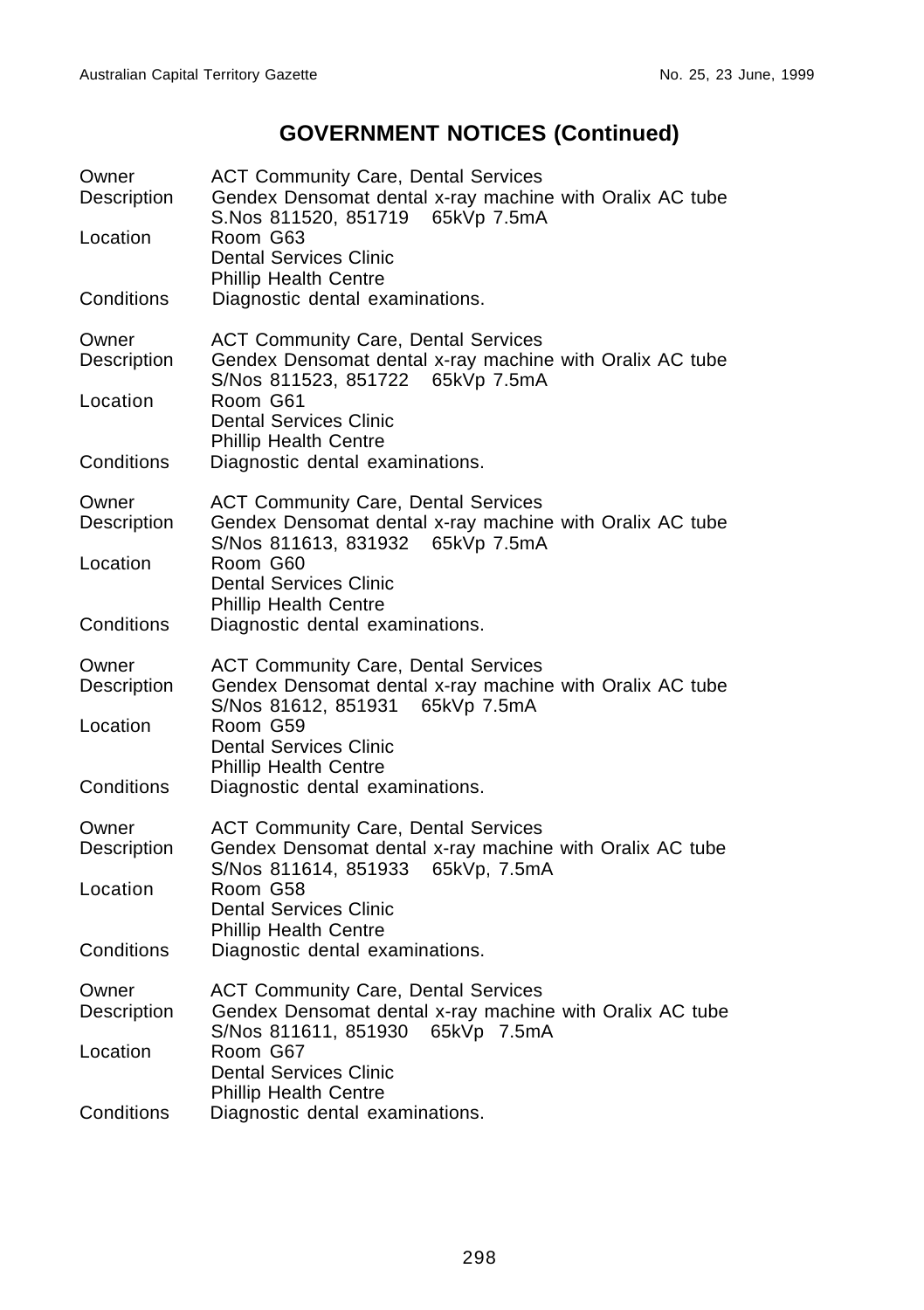| Owner<br>Description<br>Location<br>Conditions | <b>ACT Community Care, Dental Services</b><br>Gendex Densomat dental x-ray machine with Oralix AC tube<br>S.Nos 811520, 851719 65kVp 7.5mA<br>Room G63<br><b>Dental Services Clinic</b><br><b>Phillip Health Centre</b><br>Diagnostic dental examinations. |
|------------------------------------------------|------------------------------------------------------------------------------------------------------------------------------------------------------------------------------------------------------------------------------------------------------------|
| Owner                                          | <b>ACT Community Care, Dental Services</b>                                                                                                                                                                                                                 |
| Description                                    | Gendex Densomat dental x-ray machine with Oralix AC tube<br>S/Nos 811523, 851722<br>65kVp 7.5mA                                                                                                                                                            |
| Location                                       | Room G61<br><b>Dental Services Clinic</b><br><b>Phillip Health Centre</b>                                                                                                                                                                                  |
| Conditions                                     | Diagnostic dental examinations.                                                                                                                                                                                                                            |
| Owner<br>Description                           | <b>ACT Community Care, Dental Services</b><br>Gendex Densomat dental x-ray machine with Oralix AC tube<br>S/Nos 811613, 831932 65kVp 7.5mA                                                                                                                 |
| Location                                       | Room G60<br><b>Dental Services Clinic</b><br><b>Phillip Health Centre</b>                                                                                                                                                                                  |
| Conditions                                     | Diagnostic dental examinations.                                                                                                                                                                                                                            |
| Owner<br>Description                           | <b>ACT Community Care, Dental Services</b><br>Gendex Densomat dental x-ray machine with Oralix AC tube<br>S/Nos 81612, 851931 65kVp 7.5mA                                                                                                                  |
| Location                                       | Room G59<br><b>Dental Services Clinic</b><br><b>Phillip Health Centre</b>                                                                                                                                                                                  |
| Conditions                                     | Diagnostic dental examinations.                                                                                                                                                                                                                            |
| Owner<br>Description                           | <b>ACT Community Care, Dental Services</b><br>Gendex Densomat dental x-ray machine with Oralix AC tube<br>S/Nos 811614, 851933 65kVp, 7.5mA                                                                                                                |
| Location                                       | Room G58<br><b>Dental Services Clinic</b><br><b>Phillip Health Centre</b>                                                                                                                                                                                  |
| Conditions                                     | Diagnostic dental examinations.                                                                                                                                                                                                                            |
| Owner<br>Description                           | <b>ACT Community Care, Dental Services</b><br>Gendex Densomat dental x-ray machine with Oralix AC tube<br>S/Nos 811611, 851930 65kVp 7.5mA                                                                                                                 |
| Location                                       | Room G67<br><b>Dental Services Clinic</b><br><b>Phillip Health Centre</b>                                                                                                                                                                                  |
| Conditions                                     | Diagnostic dental examinations.                                                                                                                                                                                                                            |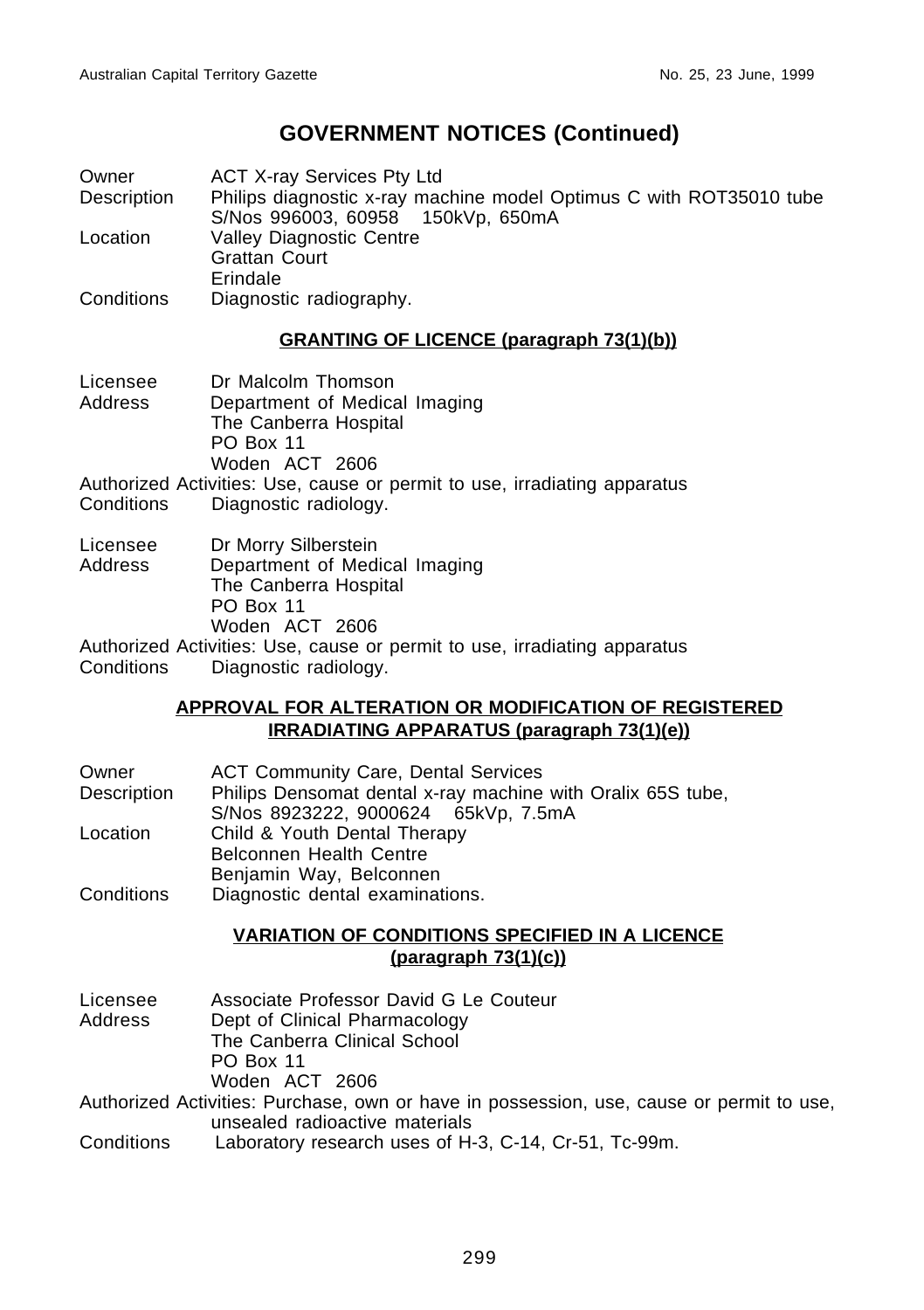Owner ACT X-ray Services Pty Ltd Description Philips diagnostic x-ray machine model Optimus C with ROT35010 tube S/Nos 996003, 60958 150kVp, 650mA Location Valley Diagnostic Centre Grattan Court Erindale Conditions Diagnostic radiography.

#### **GRANTING OF LICENCE (paragraph 73(1)(b))**

| Licensee | Dr Malcolm Thomson                                                        |
|----------|---------------------------------------------------------------------------|
| Address  | Department of Medical Imaging                                             |
|          | The Canberra Hospital                                                     |
|          | <b>PO Box 11</b>                                                          |
|          | Woden ACT 2606                                                            |
|          | Authorized Activities: Use, cause or permit to use, irradiating apparatus |
|          | Conditions Diagnostic radiology.                                          |

| Licensee   | Dr Morry Silberstein                                                      |
|------------|---------------------------------------------------------------------------|
| Address    | Department of Medical Imaging                                             |
|            | The Canberra Hospital                                                     |
|            | <b>PO Box 11</b>                                                          |
|            | Woden ACT 2606                                                            |
|            | Authorized Activities: Use, cause or permit to use, irradiating apparatus |
| Conditions | Diagnostic radiology.                                                     |

#### **APPROVAL FOR ALTERATION OR MODIFICATION OF REGISTERED IRRADIATING APPARATUS (paragraph 73(1)(e))**

| Owner       | <b>ACT Community Care, Dental Services</b>                  |  |  |
|-------------|-------------------------------------------------------------|--|--|
| Description | Philips Densomat dental x-ray machine with Oralix 65S tube, |  |  |
|             | S/Nos 8923222, 9000624 65kVp, 7.5mA                         |  |  |
| Location    | Child & Youth Dental Therapy                                |  |  |
|             | <b>Belconnen Health Centre</b>                              |  |  |
|             | Benjamin Way, Belconnen                                     |  |  |
| Conditions  | Diagnostic dental examinations.                             |  |  |

#### **VARIATION OF CONDITIONS SPECIFIED IN A LICENCE (paragraph 73(1)(c))**

- Licensee Associate Professor David G Le Couteur Address Dept of Clinical Pharmacology The Canberra Clinical School PO Box 11 Woden ACT 2606
- Authorized Activities: Purchase, own or have in possession, use, cause or permit to use, unsealed radioactive materials
- Conditions Laboratory research uses of H-3, C-14, Cr-51, Tc-99m.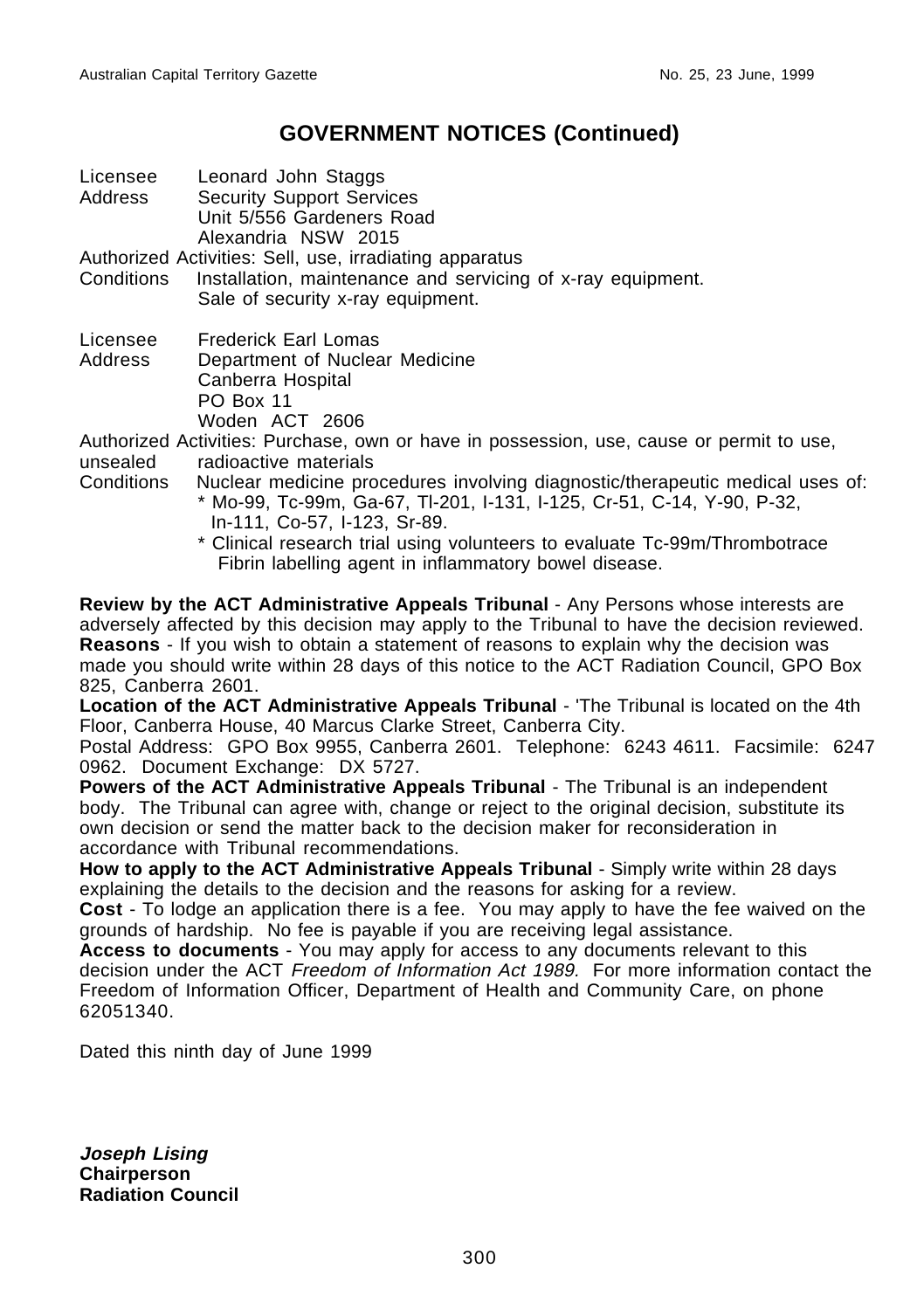Licensee Leonard John Staggs Address Security Support Services Unit 5/556 Gardeners Road Alexandria NSW 2015 Authorized Activities: Sell, use, irradiating apparatus Conditions Installation, maintenance and servicing of x-ray equipment. Sale of security x-ray equipment.

Licensee Frederick Earl Lomas Address Department of Nuclear Medicine Canberra Hospital PO Box 11 Woden ACT 2606

Authorized Activities: Purchase, own or have in possession, use, cause or permit to use, unsealed radioactive materials

- Conditions Nuclear medicine procedures involving diagnostic/therapeutic medical uses of:
	- Mo-99, Tc-99m, Ga-67, Tl-201, I-131, I-125, Cr-51, C-14, Y-90, P-32, In-111, Co-57, I-123, Sr-89.
	- \* Clinical research trial using volunteers to evaluate Tc-99m/Thrombotrace Fibrin labelling agent in inflammatory bowel disease.

**Review by the ACT Administrative Appeals Tribunal** - Any Persons whose interests are adversely affected by this decision may apply to the Tribunal to have the decision reviewed. **Reasons** - If you wish to obtain a statement of reasons to explain why the decision was made you should write within 28 days of this notice to the ACT Radiation Council, GPO Box 825, Canberra 2601.

**Location of the ACT Administrative Appeals Tribunal** - 'The Tribunal is located on the 4th Floor, Canberra House, 40 Marcus Clarke Street, Canberra City.

Postal Address: GPO Box 9955, Canberra 2601. Telephone: 6243 4611. Facsimile: 6247 0962. Document Exchange: DX 5727.

**Powers of the ACT Administrative Appeals Tribunal** - The Tribunal is an independent body. The Tribunal can agree with, change or reject to the original decision, substitute its own decision or send the matter back to the decision maker for reconsideration in accordance with Tribunal recommendations.

**How to apply to the ACT Administrative Appeals Tribunal** - Simply write within 28 days explaining the details to the decision and the reasons for asking for a review.

**Cost** - To lodge an application there is a fee. You may apply to have the fee waived on the grounds of hardship. No fee is payable if you are receiving legal assistance.

**Access to documents** - You may apply for access to any documents relevant to this decision under the ACT Freedom of Information Act 1989. For more information contact the Freedom of Information Officer, Department of Health and Community Care, on phone 62051340.

Dated this ninth day of June 1999

**Joseph Lising Chairperson Radiation Council**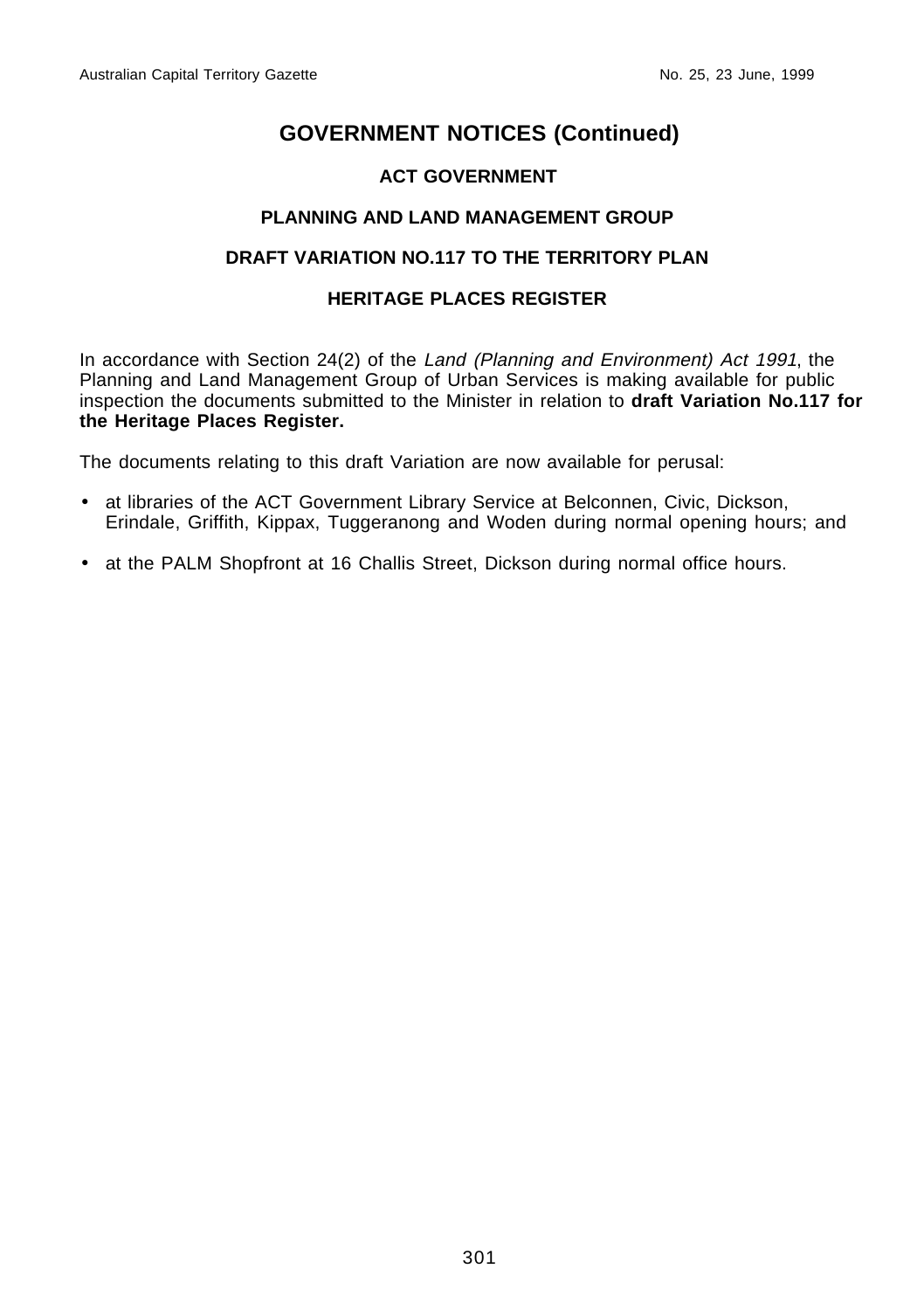#### **ACT GOVERNMENT**

#### **PLANNING AND LAND MANAGEMENT GROUP**

#### **DRAFT VARIATION NO.117 TO THE TERRITORY PLAN**

#### **HERITAGE PLACES REGISTER**

In accordance with Section 24(2) of the Land (Planning and Environment) Act 1991, the Planning and Land Management Group of Urban Services is making available for public inspection the documents submitted to the Minister in relation to **draft Variation No.117 for the Heritage Places Register.**

The documents relating to this draft Variation are now available for perusal:

- at libraries of the ACT Government Library Service at Belconnen, Civic, Dickson, Erindale, Griffith, Kippax, Tuggeranong and Woden during normal opening hours; and
- at the PALM Shopfront at 16 Challis Street, Dickson during normal office hours.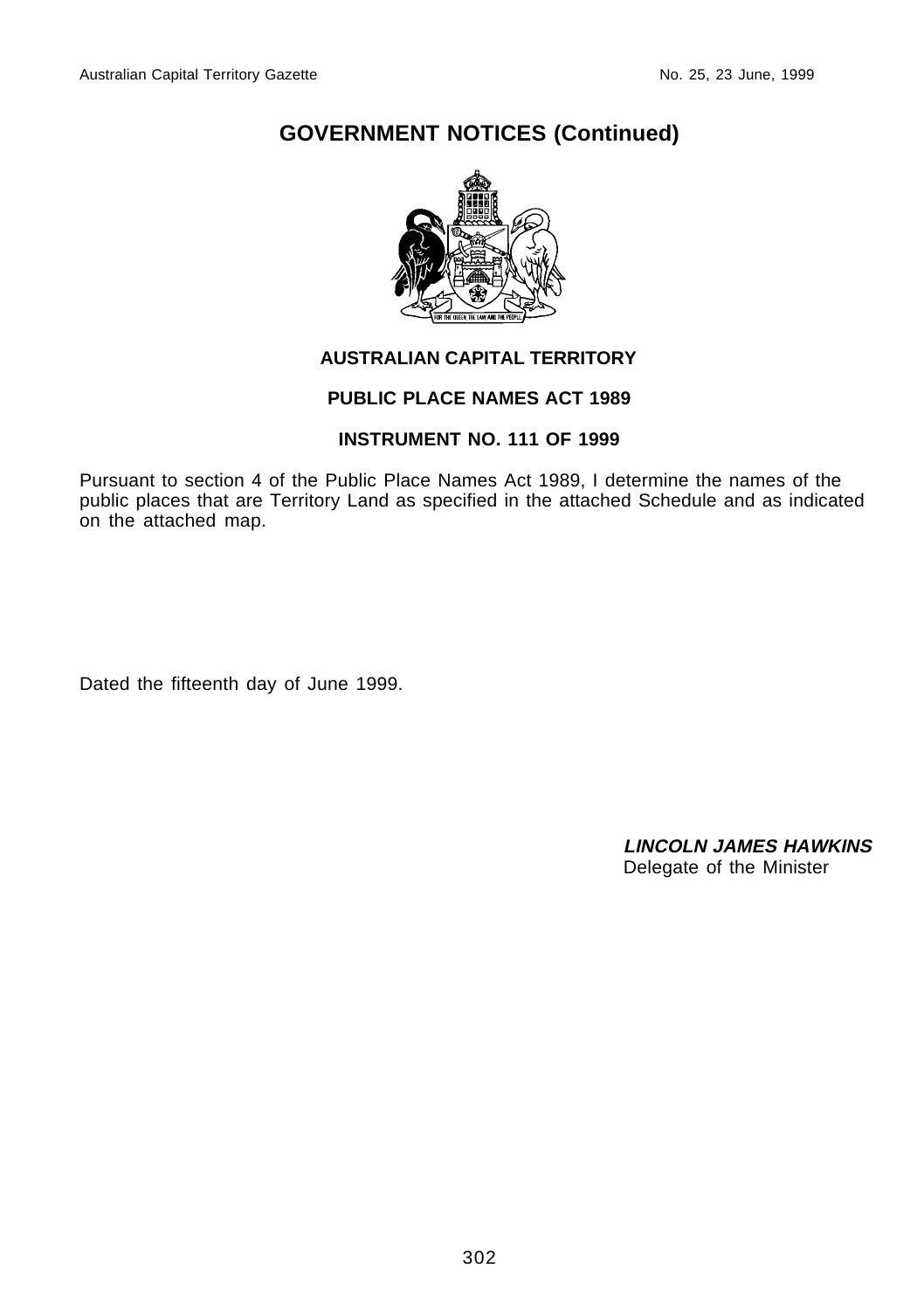

#### **AUSTRALIAN CAPITAL TERRITORY**

#### **PUBLIC PLACE NAMES ACT 1989**

#### **INSTRUMENT NO. 111 OF 1999**

Pursuant to section 4 of the Public Place Names Act 1989, I determine the names of the public places that are Territory Land as specified in the attached Schedule and as indicated on the attached map.

Dated the fifteenth day of June 1999.

**LINCOLN JAMES HAWKINS** Delegate of the Minister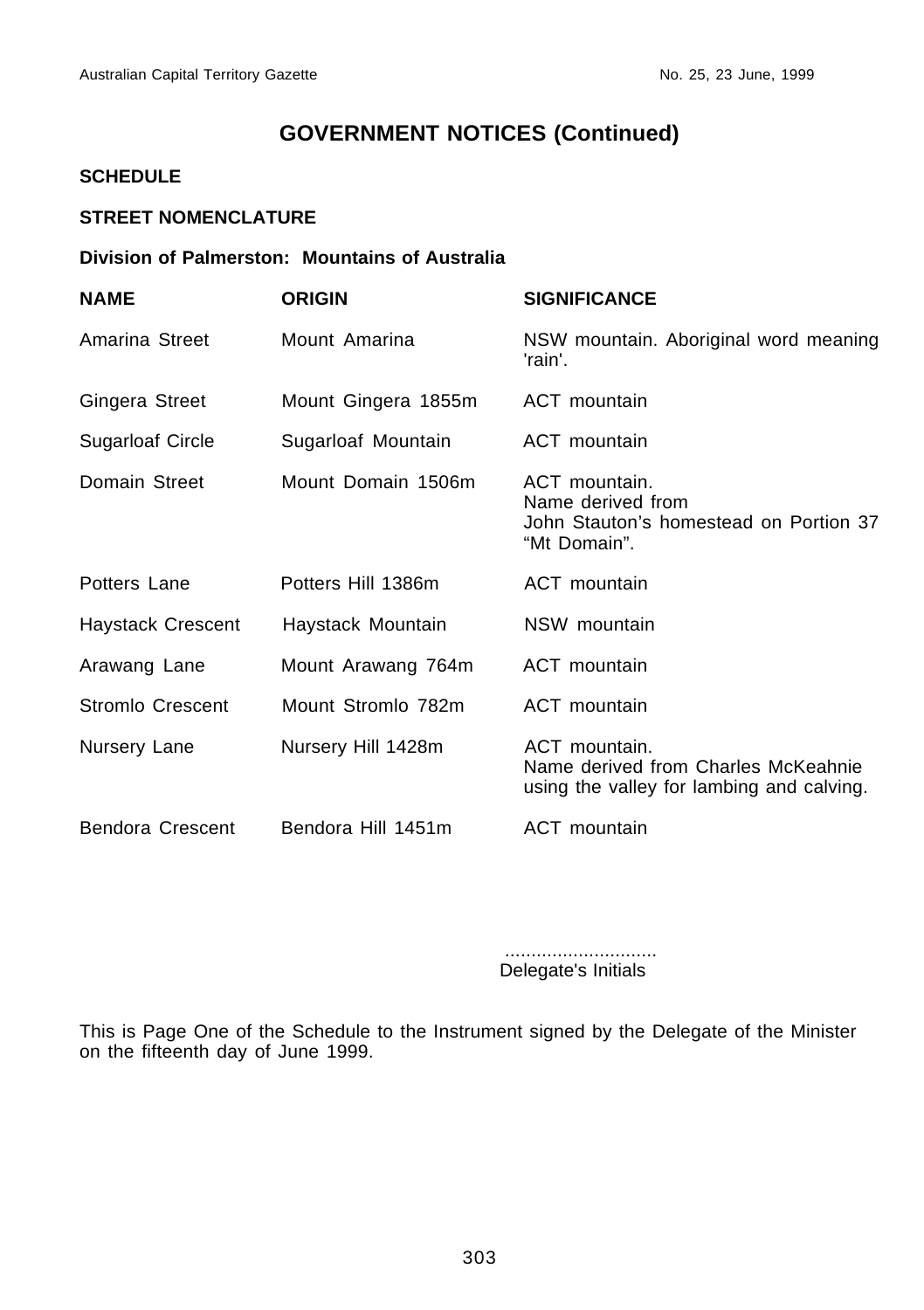#### **SCHEDULE**

#### **STREET NOMENCLATURE**

#### **Division of Palmerston: Mountains of Australia**

| <b>NAME</b>              | <b>ORIGIN</b>       | <b>SIGNIFICANCE</b>                                                                               |
|--------------------------|---------------------|---------------------------------------------------------------------------------------------------|
| Amarina Street           | Mount Amarina       | NSW mountain. Aboriginal word meaning<br>'rain'.                                                  |
| Gingera Street           | Mount Gingera 1855m | <b>ACT</b> mountain                                                                               |
| <b>Sugarloaf Circle</b>  | Sugarloaf Mountain  | ACT mountain                                                                                      |
| Domain Street            | Mount Domain 1506m  | ACT mountain.<br>Name derived from<br>John Stauton's homestead on Portion 37<br>"Mt Domain".      |
| Potters Lane             | Potters Hill 1386m  | <b>ACT</b> mountain                                                                               |
| <b>Haystack Crescent</b> | Haystack Mountain   | NSW mountain                                                                                      |
| Arawang Lane             | Mount Arawang 764m  | ACT mountain                                                                                      |
| <b>Stromlo Crescent</b>  | Mount Stromlo 782m  | <b>ACT</b> mountain                                                                               |
| Nursery Lane             | Nursery Hill 1428m  | ACT mountain.<br>Name derived from Charles McKeahnie<br>using the valley for lambing and calving. |
| <b>Bendora Crescent</b>  | Bendora Hill 1451m  | <b>ACT</b> mountain                                                                               |

 ............................. Delegate's Initials

This is Page One of the Schedule to the Instrument signed by the Delegate of the Minister on the fifteenth day of June 1999.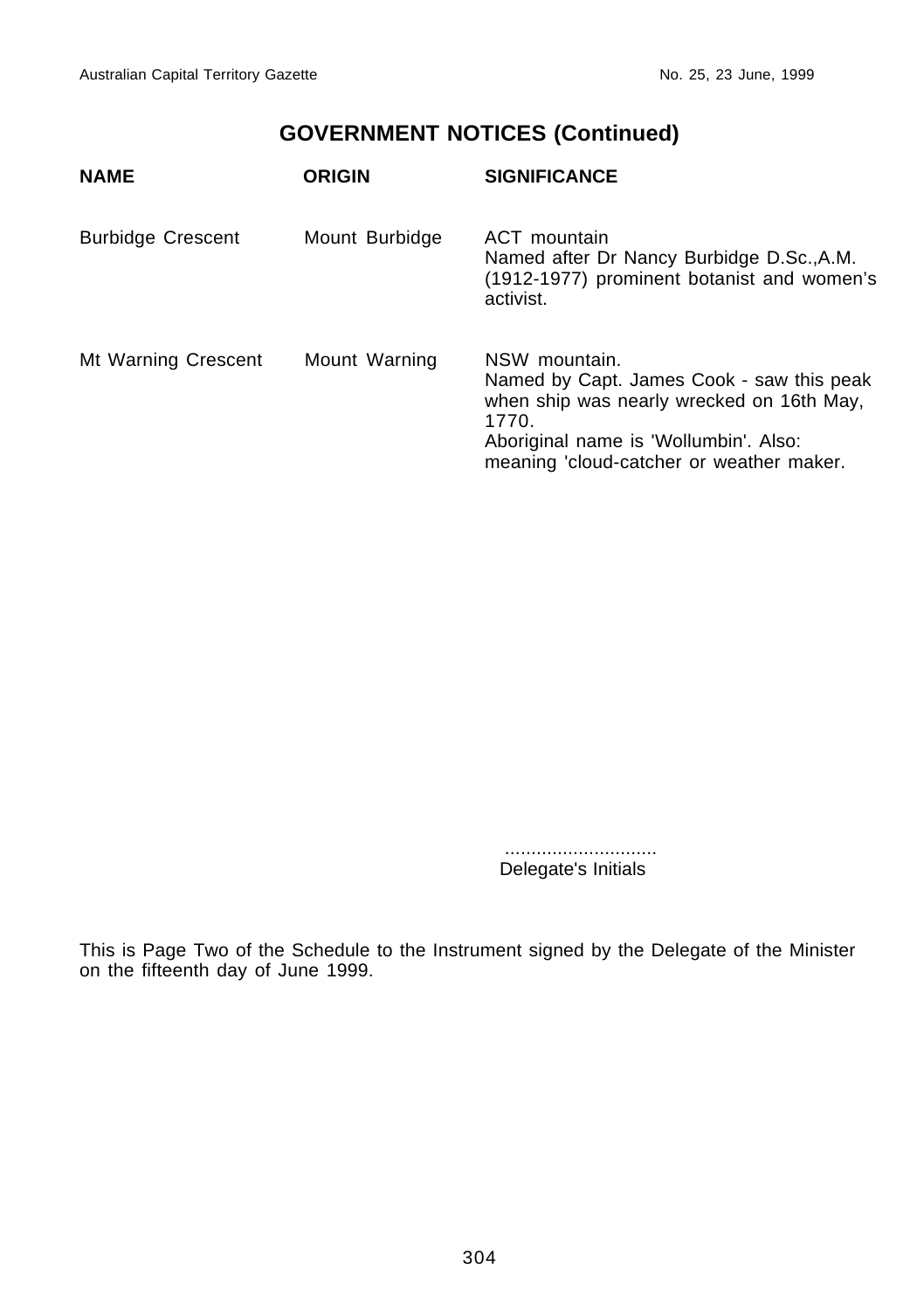| <b>NAME</b>              | <b>ORIGIN</b>  | <b>SIGNIFICANCE</b>                                                                                                                                                                                   |
|--------------------------|----------------|-------------------------------------------------------------------------------------------------------------------------------------------------------------------------------------------------------|
| <b>Burbidge Crescent</b> | Mount Burbidge | ACT mountain<br>Named after Dr Nancy Burbidge D.Sc., A.M.<br>(1912-1977) prominent botanist and women's<br>activist.                                                                                  |
| Mt Warning Crescent      | Mount Warning  | NSW mountain.<br>Named by Capt. James Cook - saw this peak<br>when ship was nearly wrecked on 16th May,<br>1770.<br>Aboriginal name is 'Wollumbin'. Also:<br>meaning 'cloud-catcher or weather maker. |

 ............................. Delegate's Initials

This is Page Two of the Schedule to the Instrument signed by the Delegate of the Minister on the fifteenth day of June 1999.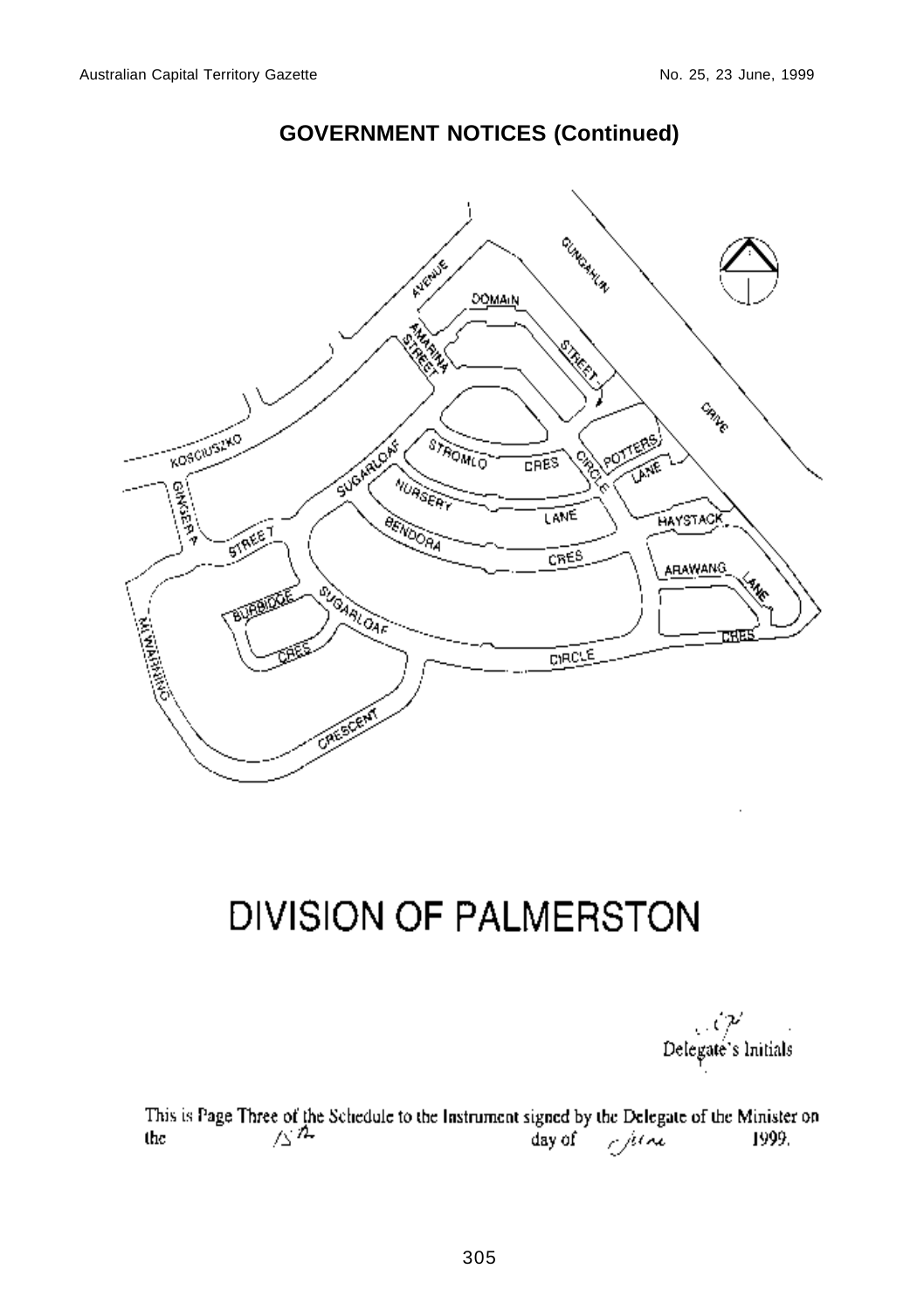

# **DIVISION OF PALMERSTON**

 $\sum_{i=1}^n \sum_{i=1}^n \sum_{i=1}^n \sum_{i=1}^n \sum_{i=1}^n \sum_{i=1}^n \sum_{i=1}^n \sum_{i=1}^n \sum_{i=1}^n \sum_{i=1}^n \sum_{i=1}^n \sum_{i=1}^n \sum_{i=1}^n \sum_{i=1}^n \sum_{i=1}^n \sum_{i=1}^n \sum_{i=1}^n \sum_{i=1}^n \sum_{i=1}^n \sum_{i=1}^n \sum_{i=1}^n \sum_{i=1}^n \sum_{i=1}^n \sum_{i=1}^n \sum_{i$ 

This is Page Three of the Schedule to the Instrument signed by the Delegate of the Minister on the  $\sqrt{2}$   $\frac{h}{r}$ day of  $\int$ 1999.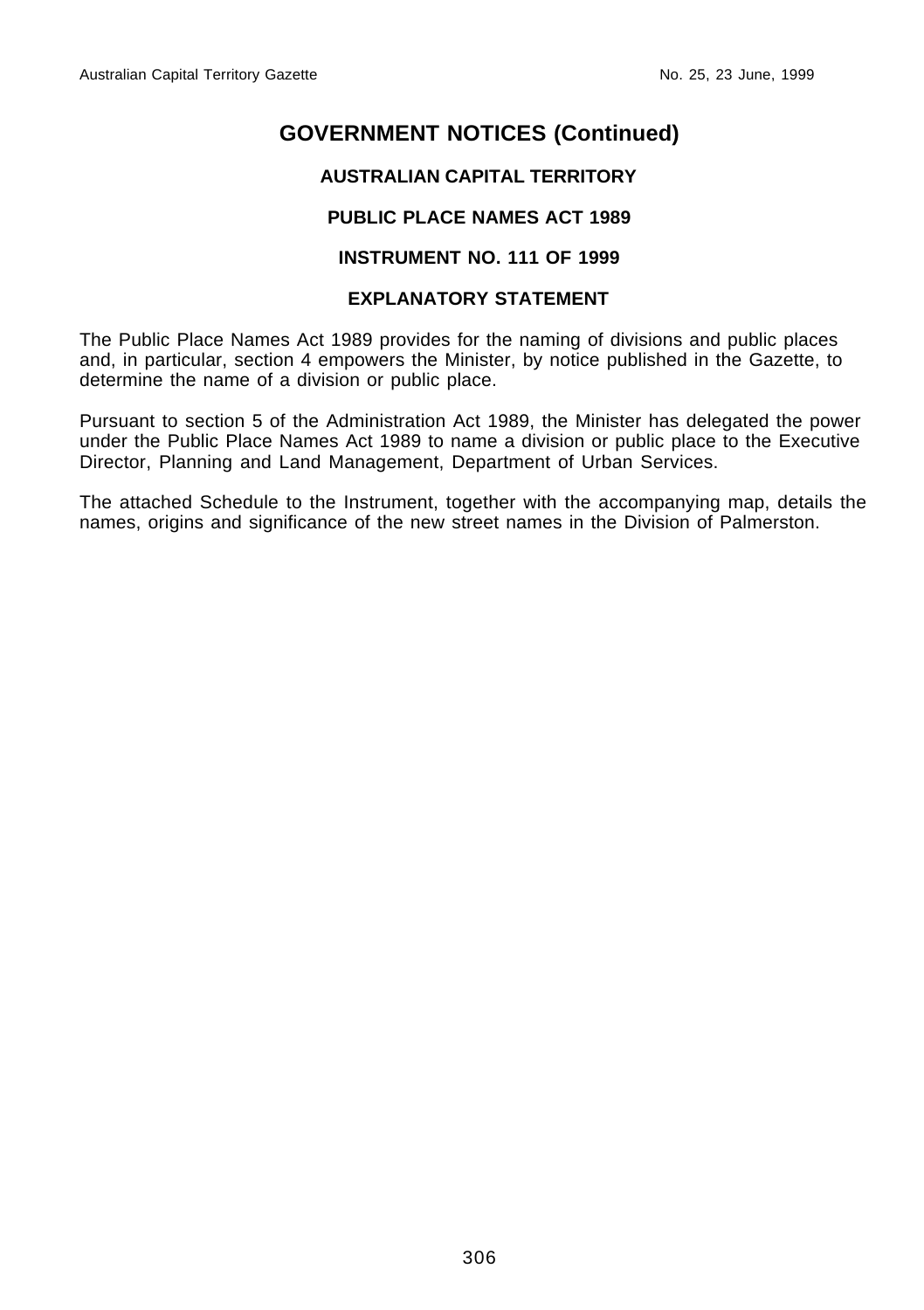#### **AUSTRALIAN CAPITAL TERRITORY**

#### **PUBLIC PLACE NAMES ACT 1989**

#### **INSTRUMENT NO. 111 OF 1999**

#### **EXPLANATORY STATEMENT**

The Public Place Names Act 1989 provides for the naming of divisions and public places and, in particular, section 4 empowers the Minister, by notice published in the Gazette, to determine the name of a division or public place.

Pursuant to section 5 of the Administration Act 1989, the Minister has delegated the power under the Public Place Names Act 1989 to name a division or public place to the Executive Director, Planning and Land Management, Department of Urban Services.

The attached Schedule to the Instrument, together with the accompanying map, details the names, origins and significance of the new street names in the Division of Palmerston.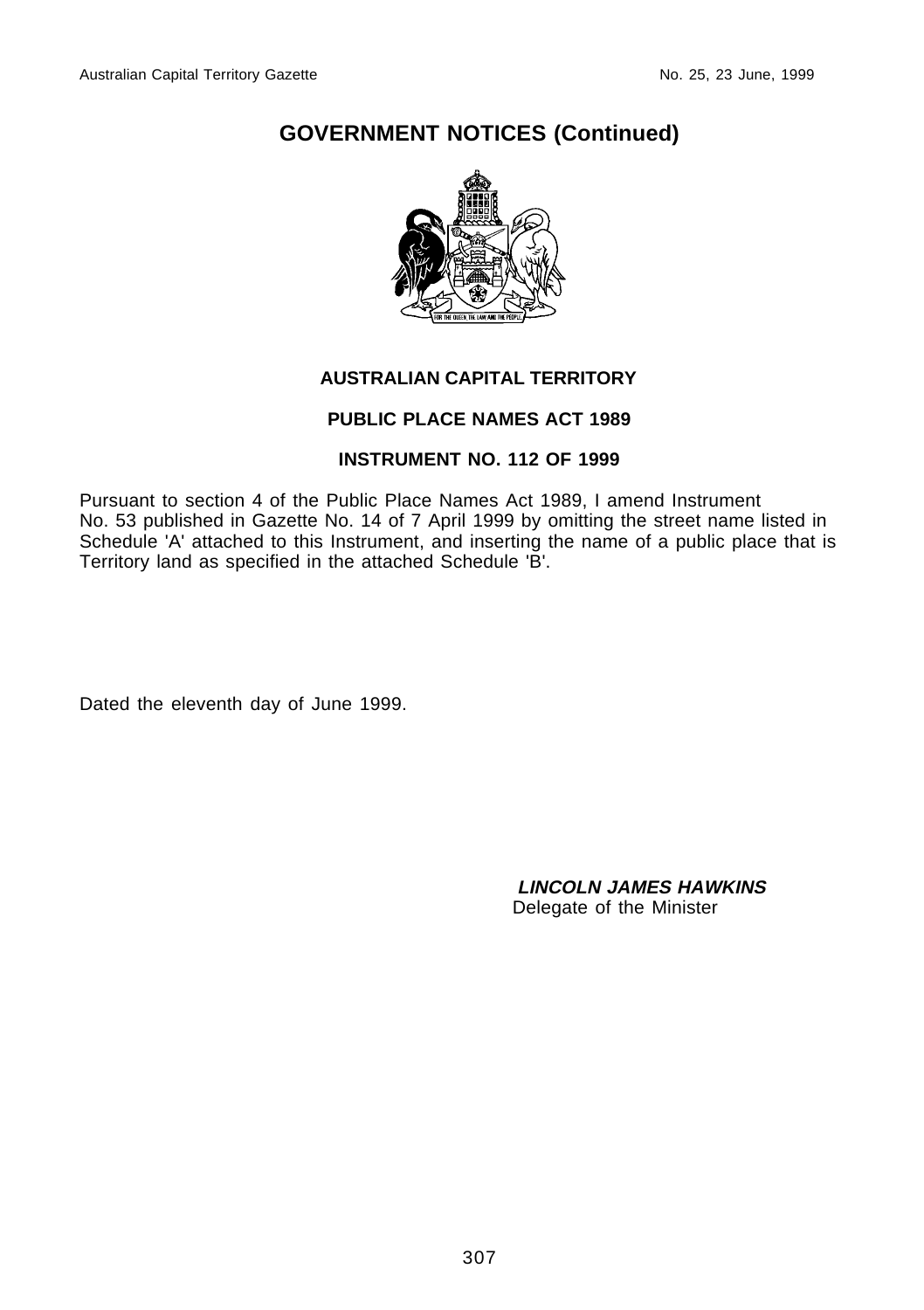

#### **AUSTRALIAN CAPITAL TERRITORY**

#### **PUBLIC PLACE NAMES ACT 1989**

#### **INSTRUMENT NO. 112 OF 1999**

Pursuant to section 4 of the Public Place Names Act 1989, I amend Instrument No. 53 published in Gazette No. 14 of 7 April 1999 by omitting the street name listed in Schedule 'A' attached to this Instrument, and inserting the name of a public place that is Territory land as specified in the attached Schedule 'B'.

Dated the eleventh day of June 1999.

 **LINCOLN JAMES HAWKINS** Delegate of the Minister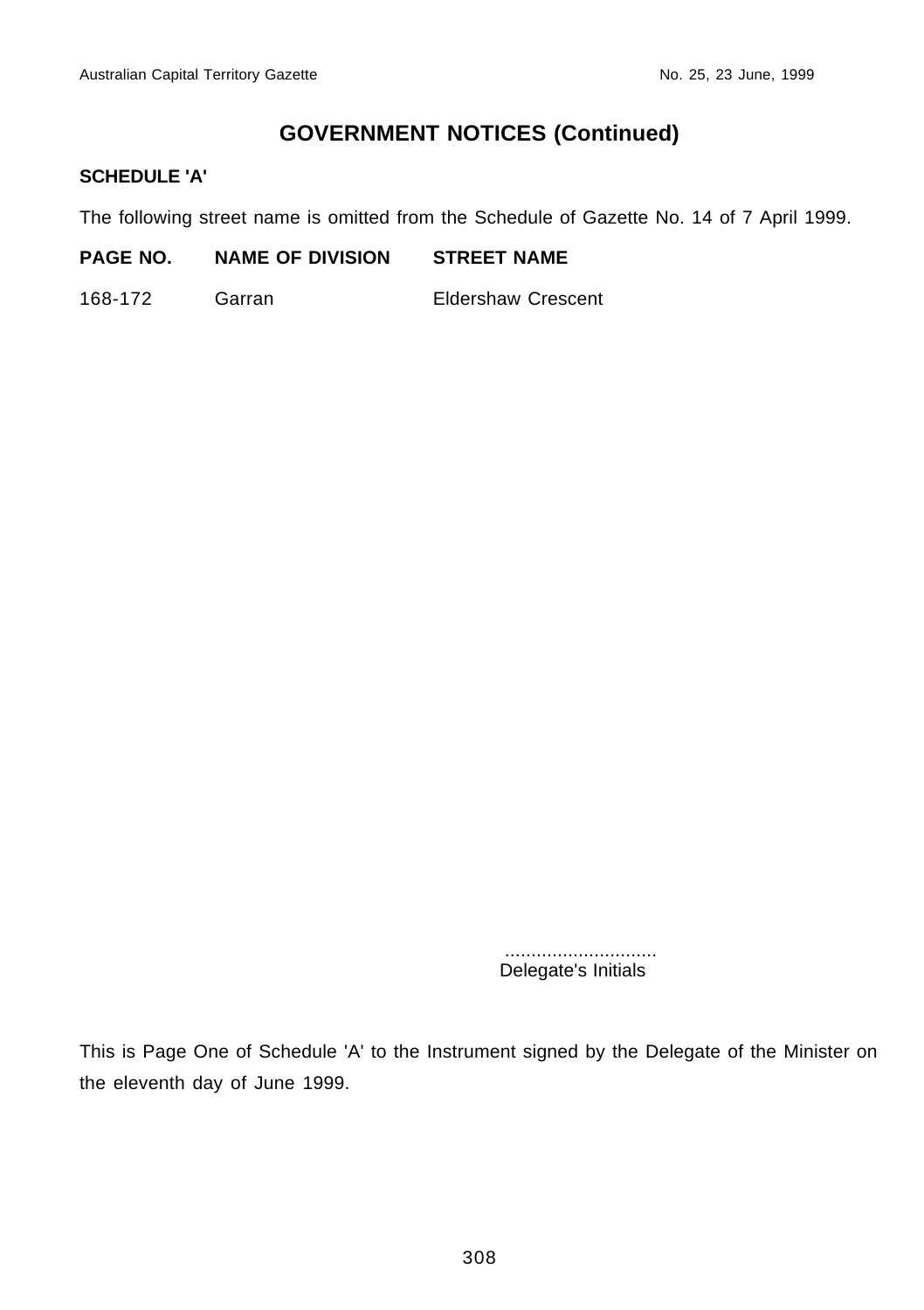#### **SCHEDULE 'A'**

The following street name is omitted from the Schedule of Gazette No. 14 of 7 April 1999.

#### **PAGE NO. NAME OF DIVISION STREET NAME**

168-172 Garran Eldershaw Crescent

> ............................. Delegate's Initials

This is Page One of Schedule 'A' to the Instrument signed by the Delegate of the Minister on the eleventh day of June 1999.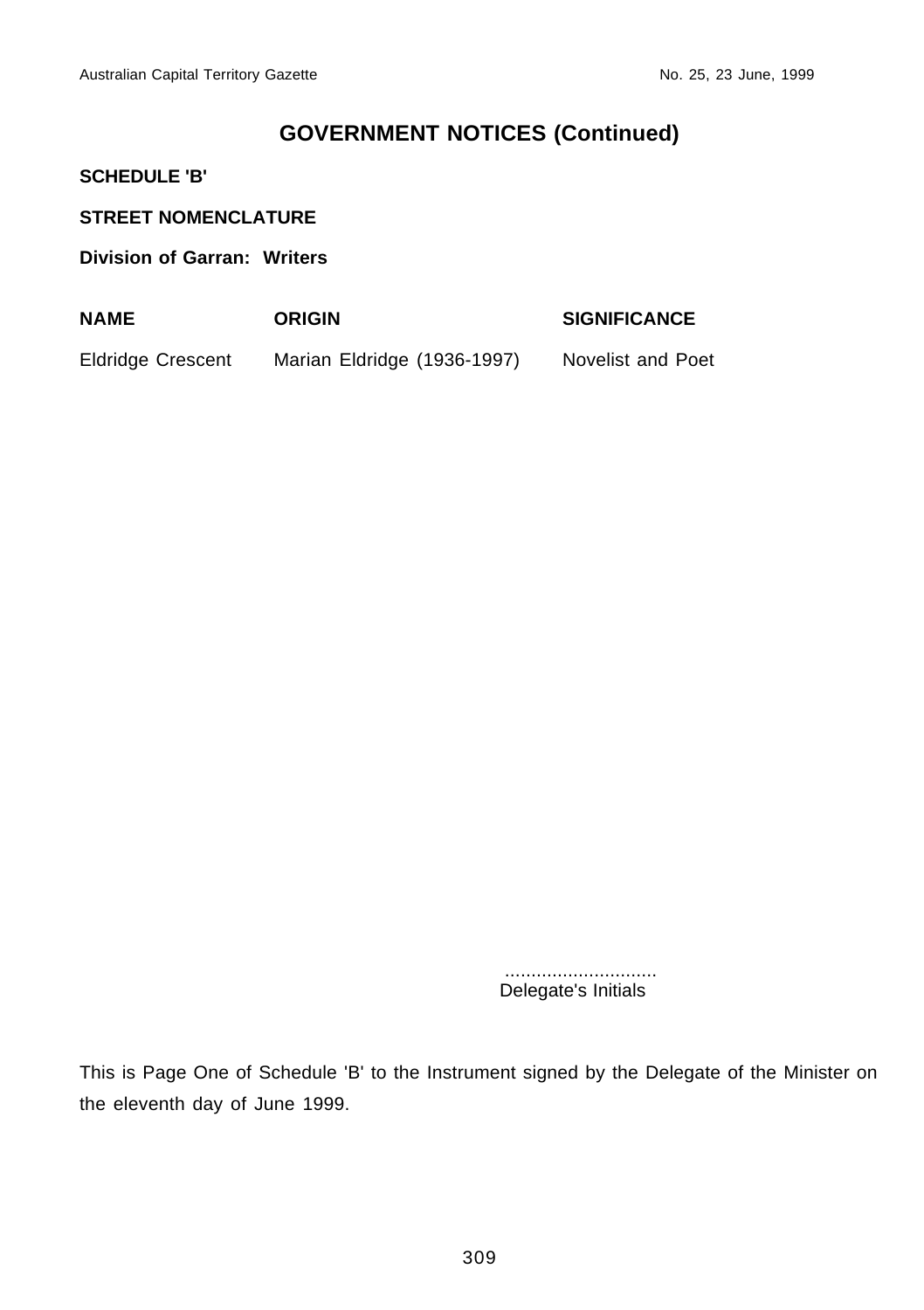#### **SCHEDULE 'B'**

#### **STREET NOMENCLATURE**

**Division of Garran: Writers**

| <b>NAME</b>              | <b>ORIGIN</b>               | <b>SIGNIFICANCE</b>      |
|--------------------------|-----------------------------|--------------------------|
| <b>Eldridge Crescent</b> | Marian Eldridge (1936-1997) | <b>Novelist and Poet</b> |

 ............................. Delegate's Initials

This is Page One of Schedule 'B' to the Instrument signed by the Delegate of the Minister on the eleventh day of June 1999.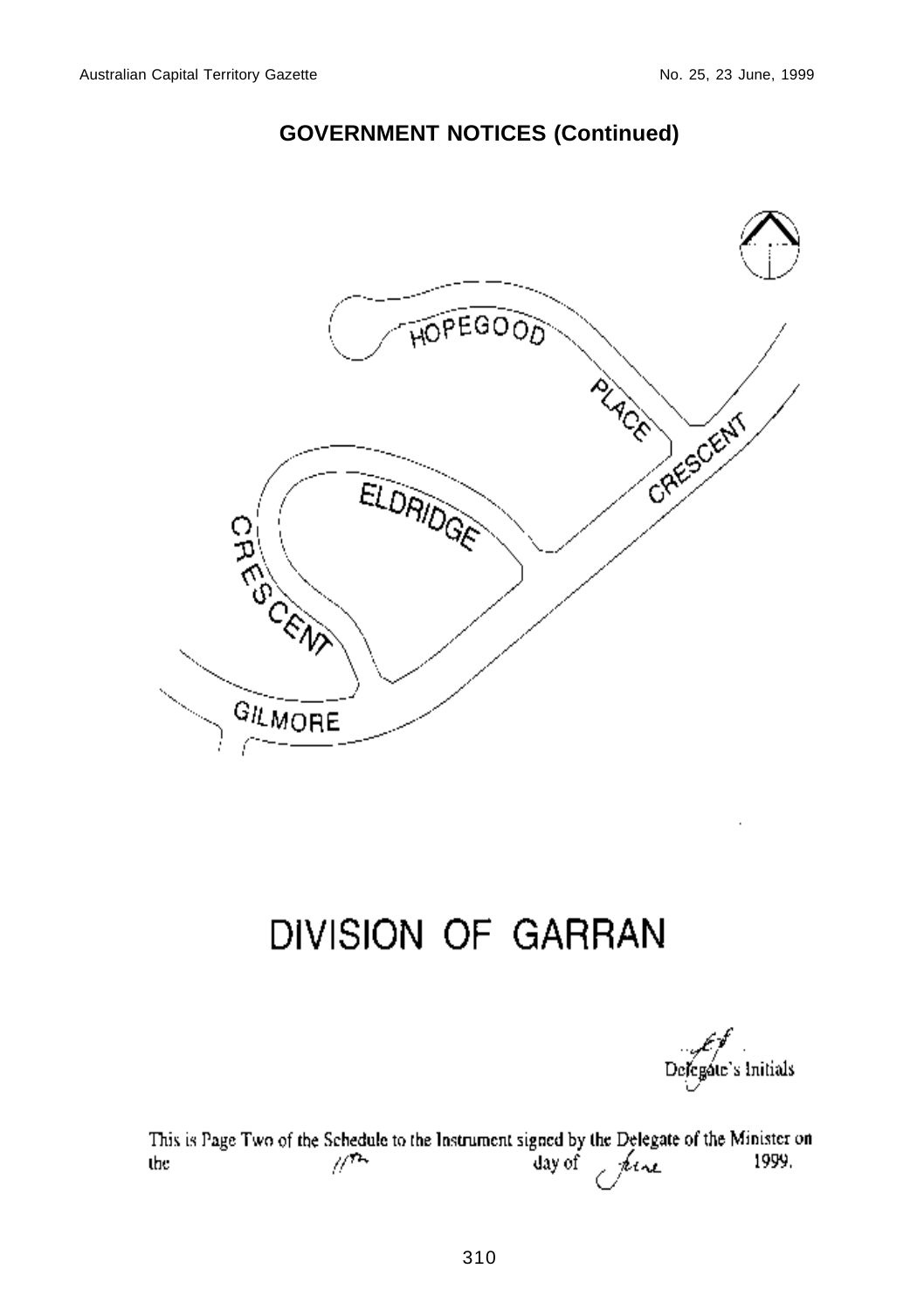

## DIVISION OF GARRAN

Delegate's initials

This is Page Two of the Schedule to the Instrument signed by the Delegate of the Minister on<br>the  $\sqrt{T}$  day of  $\int \frac{f(x)}{f(x)}$  1999. , kine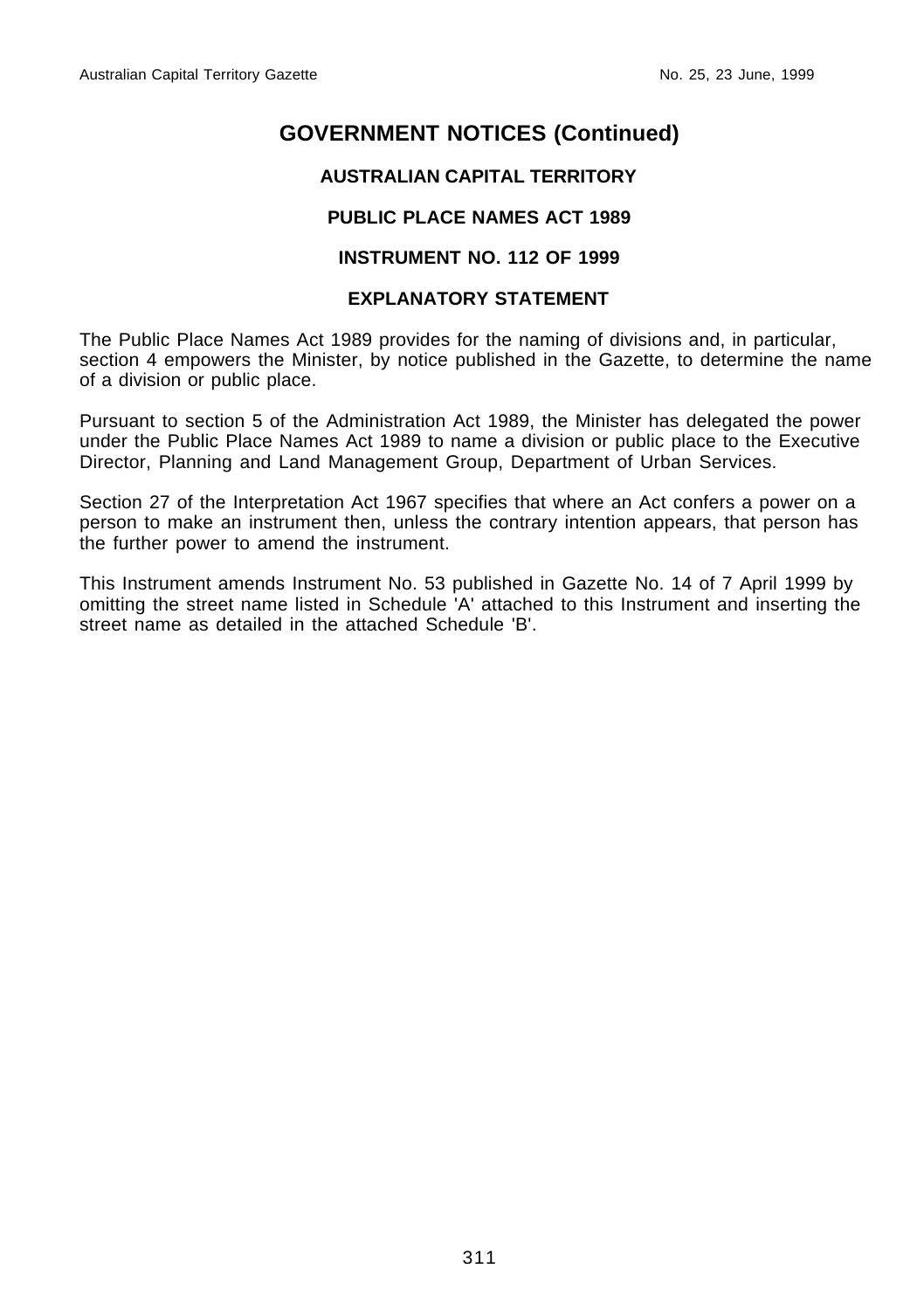#### **AUSTRALIAN CAPITAL TERRITORY**

#### **PUBLIC PLACE NAMES ACT 1989**

#### **INSTRUMENT NO. 112 OF 1999**

#### **EXPLANATORY STATEMENT**

The Public Place Names Act 1989 provides for the naming of divisions and, in particular, section 4 empowers the Minister, by notice published in the Gazette, to determine the name of a division or public place.

Pursuant to section 5 of the Administration Act 1989, the Minister has delegated the power under the Public Place Names Act 1989 to name a division or public place to the Executive Director, Planning and Land Management Group, Department of Urban Services.

Section 27 of the Interpretation Act 1967 specifies that where an Act confers a power on a person to make an instrument then, unless the contrary intention appears, that person has the further power to amend the instrument.

This Instrument amends Instrument No. 53 published in Gazette No. 14 of 7 April 1999 by omitting the street name listed in Schedule 'A' attached to this Instrument and inserting the street name as detailed in the attached Schedule 'B'.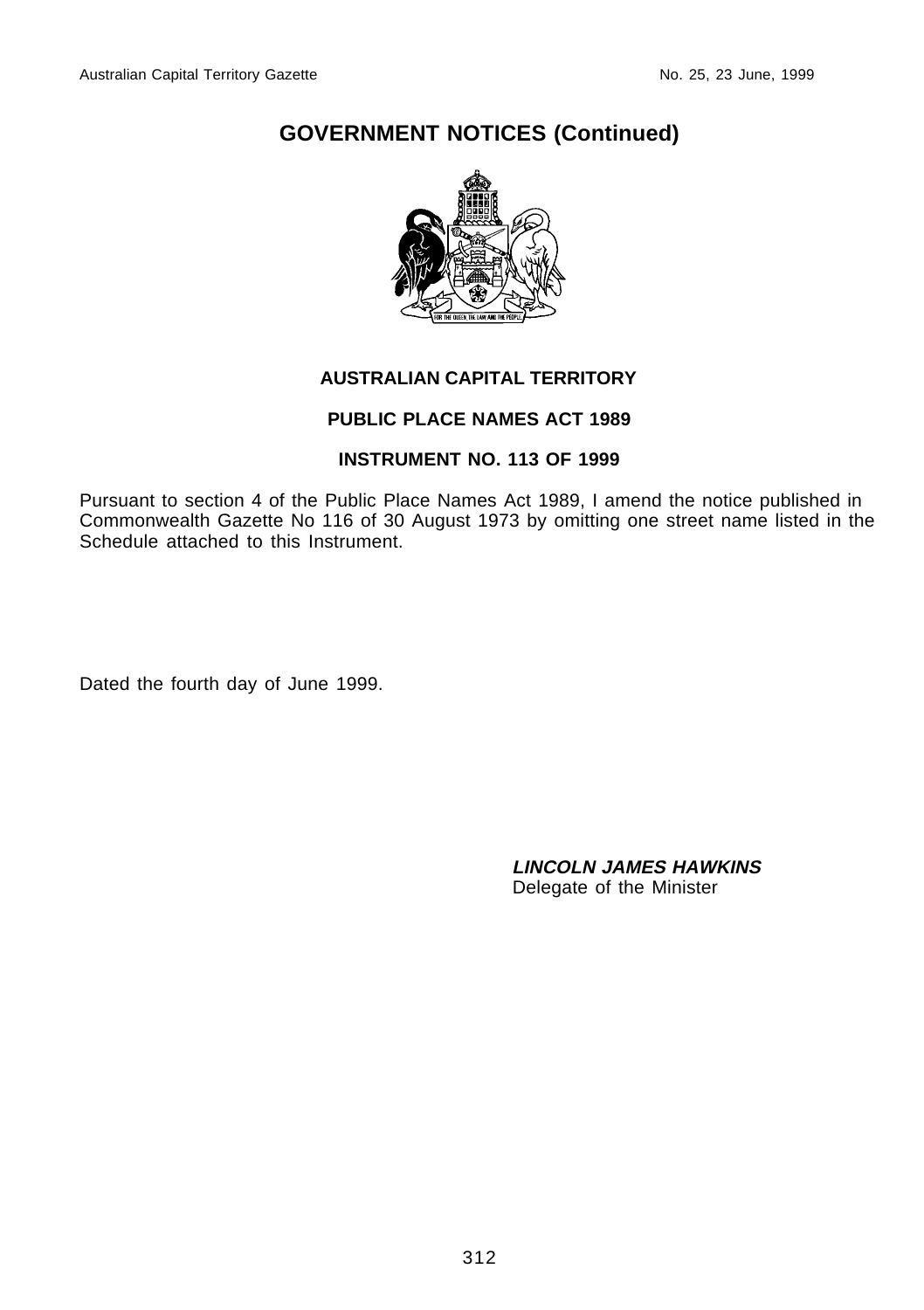

#### **AUSTRALIAN CAPITAL TERRITORY**

#### **PUBLIC PLACE NAMES ACT 1989**

#### **INSTRUMENT NO. 113 OF 1999**

Pursuant to section 4 of the Public Place Names Act 1989, I amend the notice published in Commonwealth Gazette No 116 of 30 August 1973 by omitting one street name listed in the Schedule attached to this Instrument.

Dated the fourth day of June 1999.

**LINCOLN JAMES HAWKINS** Delegate of the Minister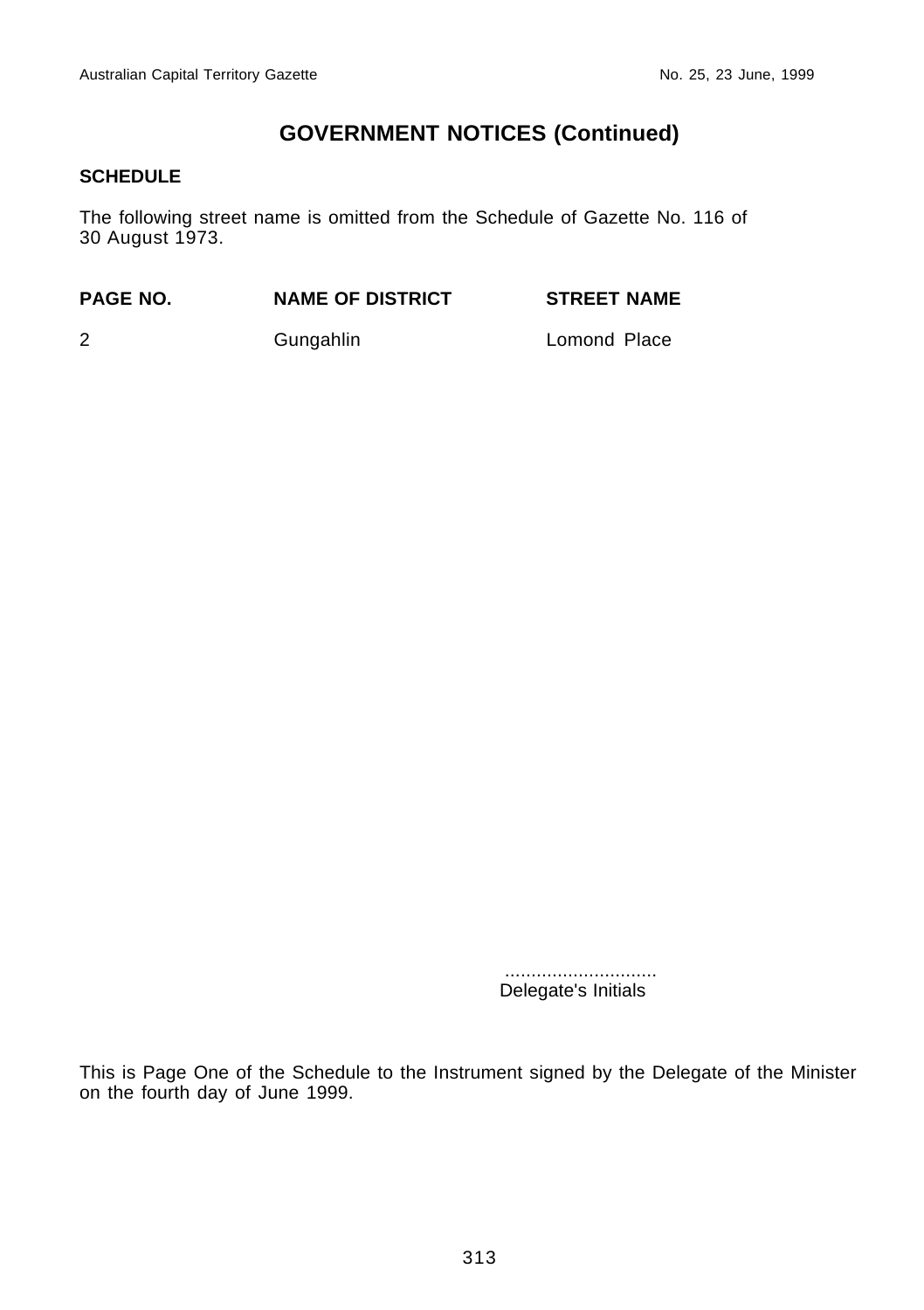#### **SCHEDULE**

The following street name is omitted from the Schedule of Gazette No. 116 of 30 August 1973.

| PAGE NO. | <b>NAME OF DISTRICT</b> | <b>STREET NAME</b> |
|----------|-------------------------|--------------------|
| 2        | Gungahlin               | Lomond Place       |

 ............................. Delegate's Initials

This is Page One of the Schedule to the Instrument signed by the Delegate of the Minister on the fourth day of June 1999.